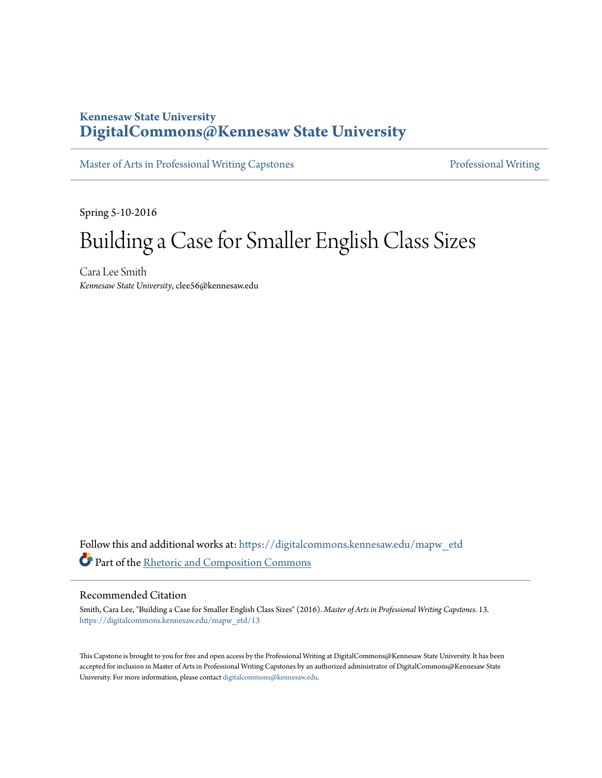### **Kennesaw State University [DigitalCommons@Kennesaw State University](https://digitalcommons.kennesaw.edu?utm_source=digitalcommons.kennesaw.edu%2Fmapw_etd%2F13&utm_medium=PDF&utm_campaign=PDFCoverPages)**

[Master of Arts in Professional Writing Capstones](https://digitalcommons.kennesaw.edu/mapw_etd?utm_source=digitalcommons.kennesaw.edu%2Fmapw_etd%2F13&utm_medium=PDF&utm_campaign=PDFCoverPages) **[Professional Writing](https://digitalcommons.kennesaw.edu/prowriting?utm_source=digitalcommons.kennesaw.edu%2Fmapw_etd%2F13&utm_medium=PDF&utm_campaign=PDFCoverPages)** 

Spring 5-10-2016

# Building a Case for Smaller English Class Sizes

Cara Lee Smith *Kennesaw State University*, clee56@kennesaw.edu

Follow this and additional works at: [https://digitalcommons.kennesaw.edu/mapw\\_etd](https://digitalcommons.kennesaw.edu/mapw_etd?utm_source=digitalcommons.kennesaw.edu%2Fmapw_etd%2F13&utm_medium=PDF&utm_campaign=PDFCoverPages) Part of the [Rhetoric and Composition Commons](http://network.bepress.com/hgg/discipline/573?utm_source=digitalcommons.kennesaw.edu%2Fmapw_etd%2F13&utm_medium=PDF&utm_campaign=PDFCoverPages)

#### Recommended Citation

Smith, Cara Lee, "Building a Case for Smaller English Class Sizes" (2016). *Master of Arts in Professional Writing Capstones*. 13. [https://digitalcommons.kennesaw.edu/mapw\\_etd/13](https://digitalcommons.kennesaw.edu/mapw_etd/13?utm_source=digitalcommons.kennesaw.edu%2Fmapw_etd%2F13&utm_medium=PDF&utm_campaign=PDFCoverPages)

This Capstone is brought to you for free and open access by the Professional Writing at DigitalCommons@Kennesaw State University. It has been accepted for inclusion in Master of Arts in Professional Writing Capstones by an authorized administrator of DigitalCommons@Kennesaw State University. For more information, please contact [digitalcommons@kennesaw.edu](mailto:digitalcommons@kennesaw.edu).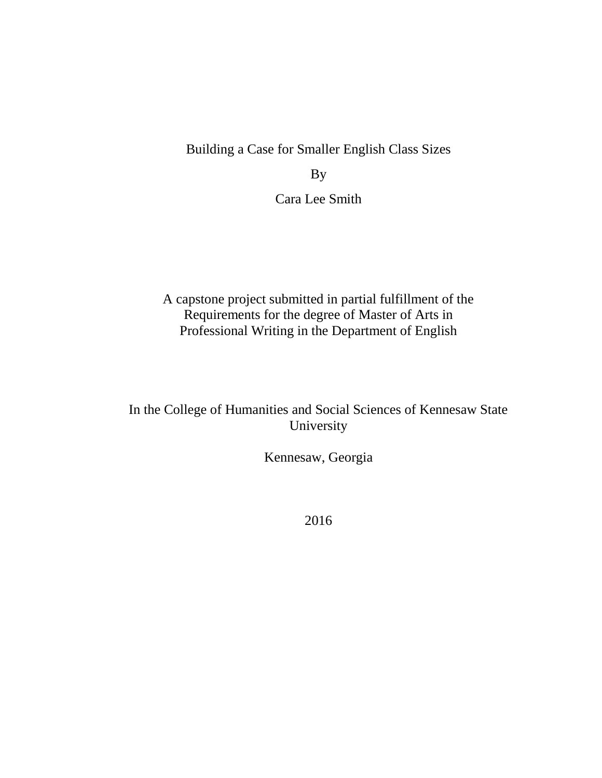Building a Case for Smaller English Class Sizes

By

Cara Lee Smith

A capstone project submitted in partial fulfillment of the Requirements for the degree of Master of Arts in Professional Writing in the Department of English

In the College of Humanities and Social Sciences of Kennesaw State University

Kennesaw, Georgia

2016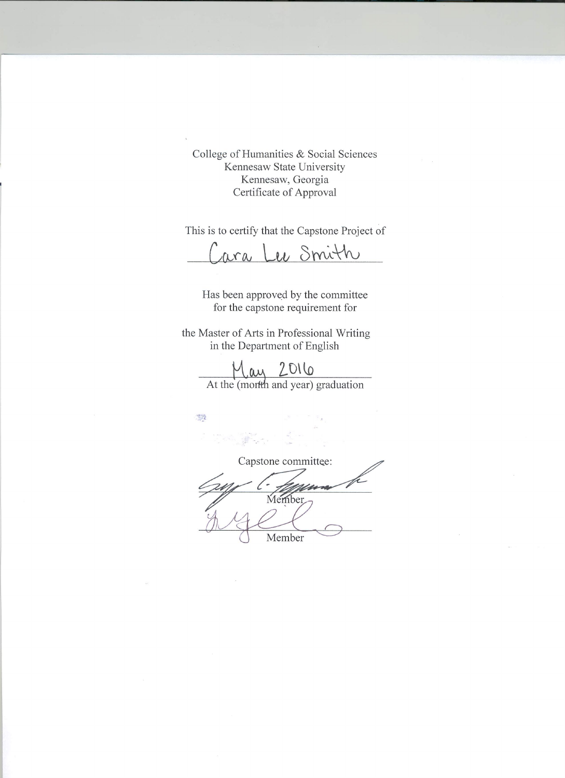College of Humanities & Social Sciences Kennesaw State University Kennesaw, Georgia Certificate of Approval

This is to certify that the Capstone Project of

ara Lee Smith

Has been approved by the committee for the capstone requirement for

the Master of Arts in Professional Writing in the Department of English

 $M_{\text{av}}$  2016<br>At the (morfth and year) graduation

R

Capstone committee: Member. Member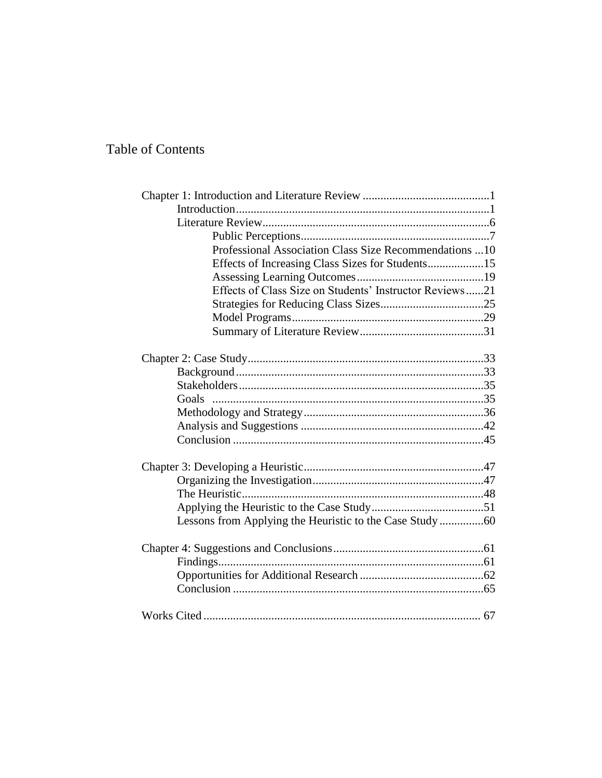## Table of Contents

| Professional Association Class Size Recommendations  10  |  |
|----------------------------------------------------------|--|
| Effects of Increasing Class Sizes for Students15         |  |
|                                                          |  |
| Effects of Class Size on Students' Instructor Reviews21  |  |
|                                                          |  |
|                                                          |  |
|                                                          |  |
|                                                          |  |
|                                                          |  |
|                                                          |  |
|                                                          |  |
| Goals                                                    |  |
|                                                          |  |
|                                                          |  |
|                                                          |  |
|                                                          |  |
|                                                          |  |
|                                                          |  |
|                                                          |  |
| Lessons from Applying the Heuristic to the Case Study 60 |  |
|                                                          |  |
|                                                          |  |
|                                                          |  |
|                                                          |  |
|                                                          |  |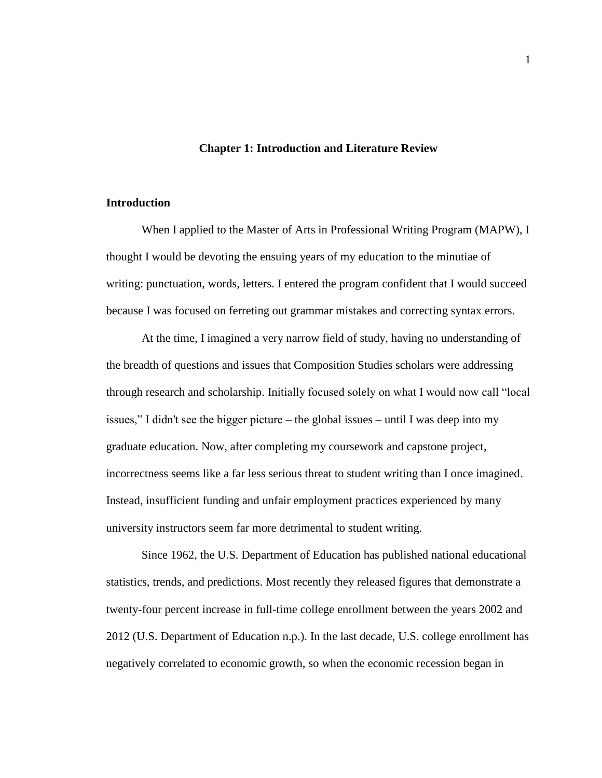#### **Chapter 1: Introduction and Literature Review**

#### **Introduction**

When I applied to the Master of Arts in Professional Writing Program (MAPW), I thought I would be devoting the ensuing years of my education to the minutiae of writing: punctuation, words, letters. I entered the program confident that I would succeed because I was focused on ferreting out grammar mistakes and correcting syntax errors.

At the time, I imagined a very narrow field of study, having no understanding of the breadth of questions and issues that Composition Studies scholars were addressing through research and scholarship. Initially focused solely on what I would now call "local issues," I didn't see the bigger picture – the global issues – until I was deep into my graduate education. Now, after completing my coursework and capstone project, incorrectness seems like a far less serious threat to student writing than I once imagined. Instead, insufficient funding and unfair employment practices experienced by many university instructors seem far more detrimental to student writing.

Since 1962, the U.S. Department of Education has published national educational statistics, trends, and predictions. Most recently they released figures that demonstrate a twenty-four percent increase in full-time college enrollment between the years 2002 and 2012 (U.S. Department of Education n.p.). In the last decade, U.S. college enrollment has negatively correlated to economic growth, so when the economic recession began in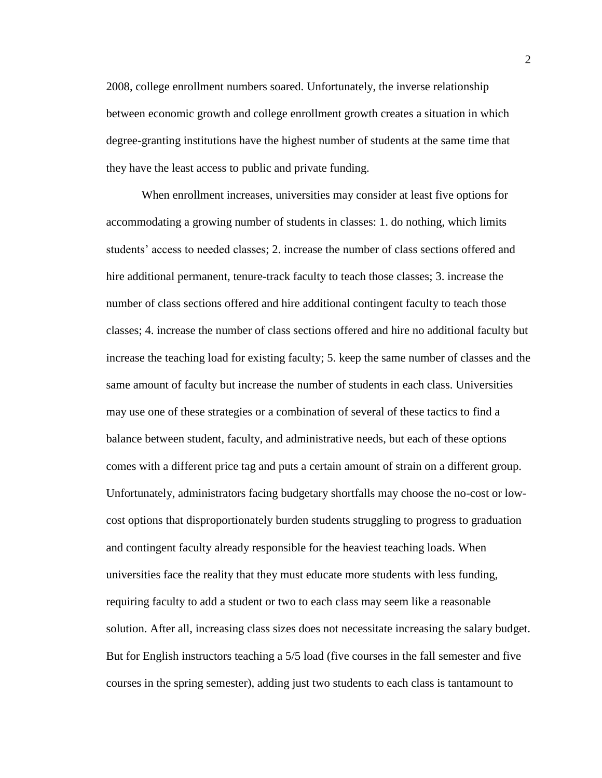2008, college enrollment numbers soared. Unfortunately, the inverse relationship between economic growth and college enrollment growth creates a situation in which degree-granting institutions have the highest number of students at the same time that they have the least access to public and private funding.

When enrollment increases, universities may consider at least five options for accommodating a growing number of students in classes: 1. do nothing, which limits students' access to needed classes; 2. increase the number of class sections offered and hire additional permanent, tenure-track faculty to teach those classes; 3. increase the number of class sections offered and hire additional contingent faculty to teach those classes; 4. increase the number of class sections offered and hire no additional faculty but increase the teaching load for existing faculty; 5. keep the same number of classes and the same amount of faculty but increase the number of students in each class. Universities may use one of these strategies or a combination of several of these tactics to find a balance between student, faculty, and administrative needs, but each of these options comes with a different price tag and puts a certain amount of strain on a different group. Unfortunately, administrators facing budgetary shortfalls may choose the no-cost or lowcost options that disproportionately burden students struggling to progress to graduation and contingent faculty already responsible for the heaviest teaching loads. When universities face the reality that they must educate more students with less funding, requiring faculty to add a student or two to each class may seem like a reasonable solution. After all, increasing class sizes does not necessitate increasing the salary budget. But for English instructors teaching a 5/5 load (five courses in the fall semester and five courses in the spring semester), adding just two students to each class is tantamount to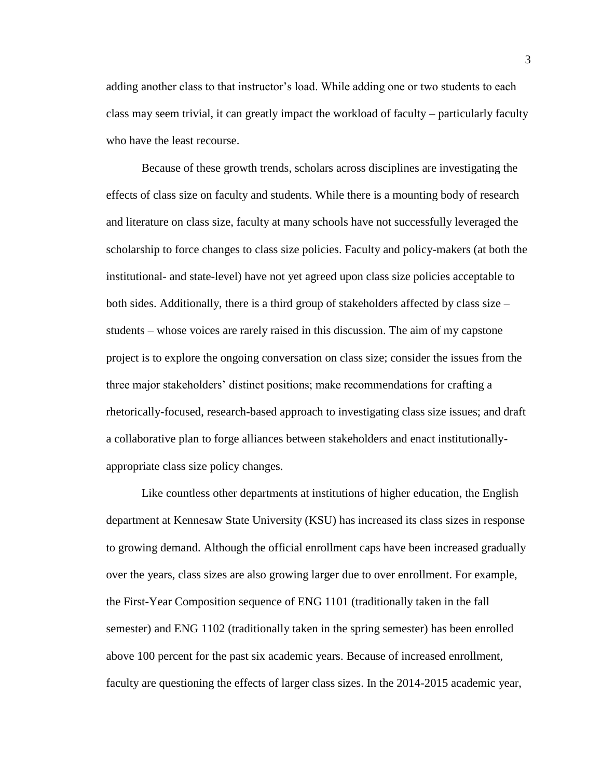adding another class to that instructor's load. While adding one or two students to each class may seem trivial, it can greatly impact the workload of faculty – particularly faculty who have the least recourse.

Because of these growth trends, scholars across disciplines are investigating the effects of class size on faculty and students. While there is a mounting body of research and literature on class size, faculty at many schools have not successfully leveraged the scholarship to force changes to class size policies. Faculty and policy-makers (at both the institutional- and state-level) have not yet agreed upon class size policies acceptable to both sides. Additionally, there is a third group of stakeholders affected by class size – students – whose voices are rarely raised in this discussion. The aim of my capstone project is to explore the ongoing conversation on class size; consider the issues from the three major stakeholders' distinct positions; make recommendations for crafting a rhetorically-focused, research-based approach to investigating class size issues; and draft a collaborative plan to forge alliances between stakeholders and enact institutionallyappropriate class size policy changes.

Like countless other departments at institutions of higher education, the English department at Kennesaw State University (KSU) has increased its class sizes in response to growing demand. Although the official enrollment caps have been increased gradually over the years, class sizes are also growing larger due to over enrollment. For example, the First-Year Composition sequence of ENG 1101 (traditionally taken in the fall semester) and ENG 1102 (traditionally taken in the spring semester) has been enrolled above 100 percent for the past six academic years. Because of increased enrollment, faculty are questioning the effects of larger class sizes. In the 2014-2015 academic year,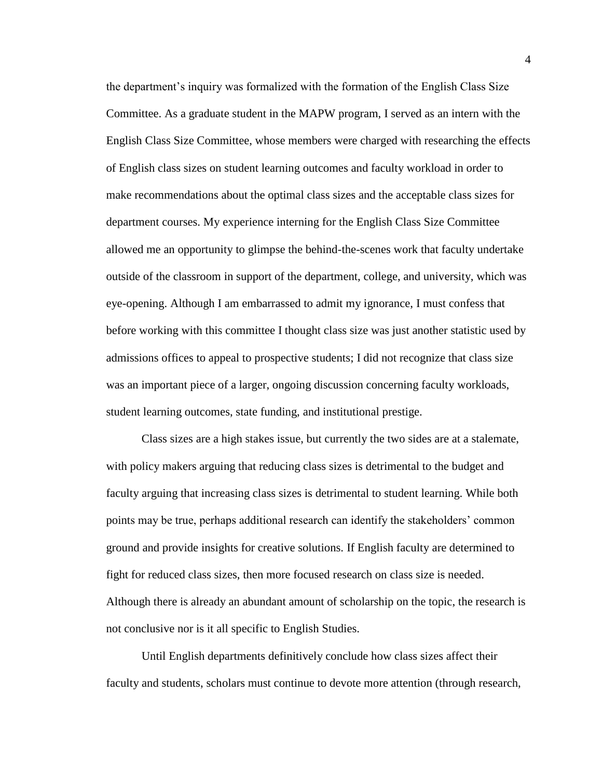the department's inquiry was formalized with the formation of the English Class Size Committee. As a graduate student in the MAPW program, I served as an intern with the English Class Size Committee, whose members were charged with researching the effects of English class sizes on student learning outcomes and faculty workload in order to make recommendations about the optimal class sizes and the acceptable class sizes for department courses. My experience interning for the English Class Size Committee allowed me an opportunity to glimpse the behind-the-scenes work that faculty undertake outside of the classroom in support of the department, college, and university, which was eye-opening. Although I am embarrassed to admit my ignorance, I must confess that before working with this committee I thought class size was just another statistic used by admissions offices to appeal to prospective students; I did not recognize that class size was an important piece of a larger, ongoing discussion concerning faculty workloads, student learning outcomes, state funding, and institutional prestige.

Class sizes are a high stakes issue, but currently the two sides are at a stalemate, with policy makers arguing that reducing class sizes is detrimental to the budget and faculty arguing that increasing class sizes is detrimental to student learning. While both points may be true, perhaps additional research can identify the stakeholders' common ground and provide insights for creative solutions. If English faculty are determined to fight for reduced class sizes, then more focused research on class size is needed. Although there is already an abundant amount of scholarship on the topic, the research is not conclusive nor is it all specific to English Studies.

Until English departments definitively conclude how class sizes affect their faculty and students, scholars must continue to devote more attention (through research,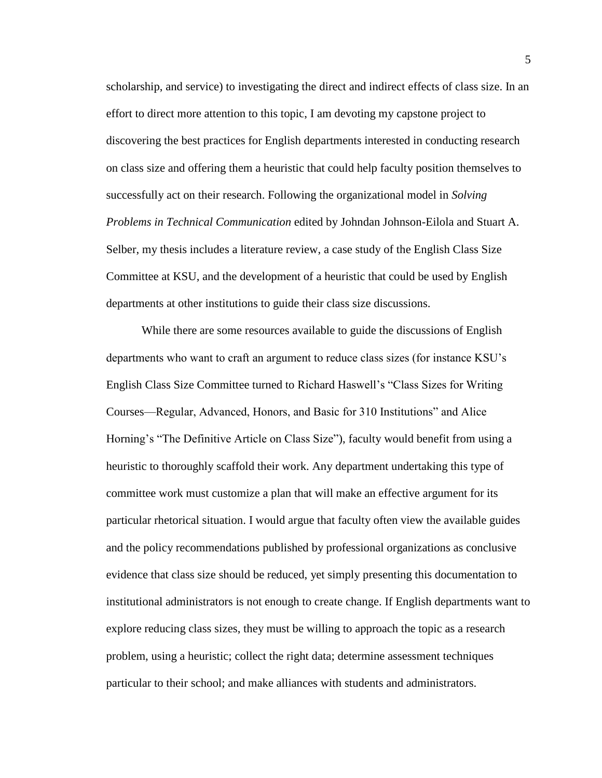scholarship, and service) to investigating the direct and indirect effects of class size. In an effort to direct more attention to this topic, I am devoting my capstone project to discovering the best practices for English departments interested in conducting research on class size and offering them a heuristic that could help faculty position themselves to successfully act on their research. Following the organizational model in *Solving Problems in Technical Communication* edited by Johndan Johnson-Eilola and Stuart A. Selber, my thesis includes a literature review, a case study of the English Class Size Committee at KSU, and the development of a heuristic that could be used by English departments at other institutions to guide their class size discussions.

While there are some resources available to guide the discussions of English departments who want to craft an argument to reduce class sizes (for instance KSU's English Class Size Committee turned to Richard Haswell's "Class Sizes for Writing Courses—Regular, Advanced, Honors, and Basic for 310 Institutions" and Alice Horning's "The Definitive Article on Class Size"), faculty would benefit from using a heuristic to thoroughly scaffold their work. Any department undertaking this type of committee work must customize a plan that will make an effective argument for its particular rhetorical situation. I would argue that faculty often view the available guides and the policy recommendations published by professional organizations as conclusive evidence that class size should be reduced, yet simply presenting this documentation to institutional administrators is not enough to create change. If English departments want to explore reducing class sizes, they must be willing to approach the topic as a research problem, using a heuristic; collect the right data; determine assessment techniques particular to their school; and make alliances with students and administrators.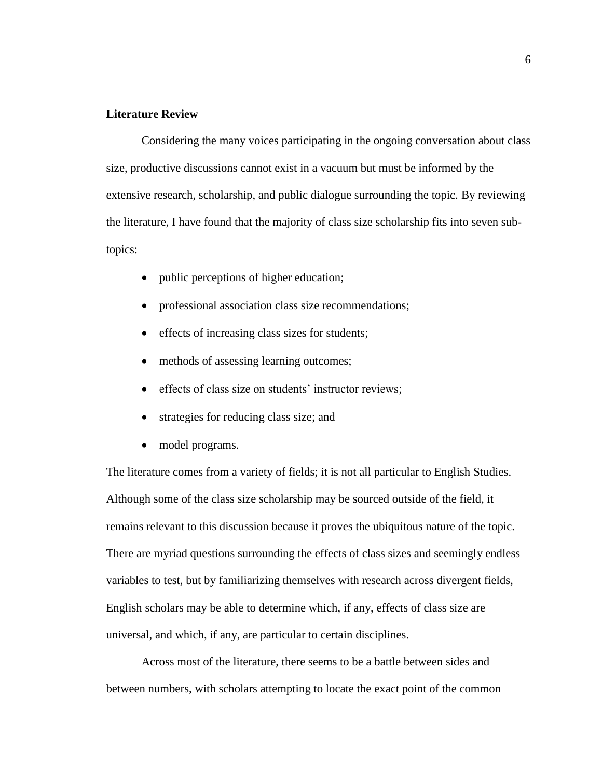#### **Literature Review**

Considering the many voices participating in the ongoing conversation about class size, productive discussions cannot exist in a vacuum but must be informed by the extensive research, scholarship, and public dialogue surrounding the topic. By reviewing the literature, I have found that the majority of class size scholarship fits into seven subtopics:

- public perceptions of higher education;
- professional association class size recommendations;
- effects of increasing class sizes for students;
- methods of assessing learning outcomes;
- effects of class size on students' instructor reviews;
- strategies for reducing class size; and
- model programs.

The literature comes from a variety of fields; it is not all particular to English Studies. Although some of the class size scholarship may be sourced outside of the field, it remains relevant to this discussion because it proves the ubiquitous nature of the topic. There are myriad questions surrounding the effects of class sizes and seemingly endless variables to test, but by familiarizing themselves with research across divergent fields, English scholars may be able to determine which, if any, effects of class size are universal, and which, if any, are particular to certain disciplines.

Across most of the literature, there seems to be a battle between sides and between numbers, with scholars attempting to locate the exact point of the common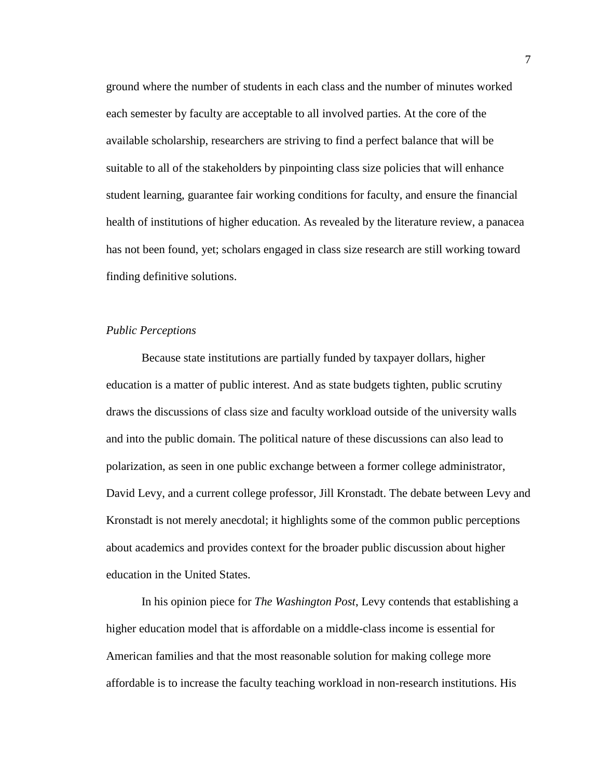ground where the number of students in each class and the number of minutes worked each semester by faculty are acceptable to all involved parties. At the core of the available scholarship, researchers are striving to find a perfect balance that will be suitable to all of the stakeholders by pinpointing class size policies that will enhance student learning, guarantee fair working conditions for faculty, and ensure the financial health of institutions of higher education. As revealed by the literature review, a panacea has not been found, yet; scholars engaged in class size research are still working toward finding definitive solutions.

#### *Public Perceptions*

Because state institutions are partially funded by taxpayer dollars, higher education is a matter of public interest. And as state budgets tighten, public scrutiny draws the discussions of class size and faculty workload outside of the university walls and into the public domain. The political nature of these discussions can also lead to polarization, as seen in one public exchange between a former college administrator, David Levy, and a current college professor, Jill Kronstadt. The debate between Levy and Kronstadt is not merely anecdotal; it highlights some of the common public perceptions about academics and provides context for the broader public discussion about higher education in the United States.

In his opinion piece for *The Washington Post*, Levy contends that establishing a higher education model that is affordable on a middle-class income is essential for American families and that the most reasonable solution for making college more affordable is to increase the faculty teaching workload in non-research institutions. His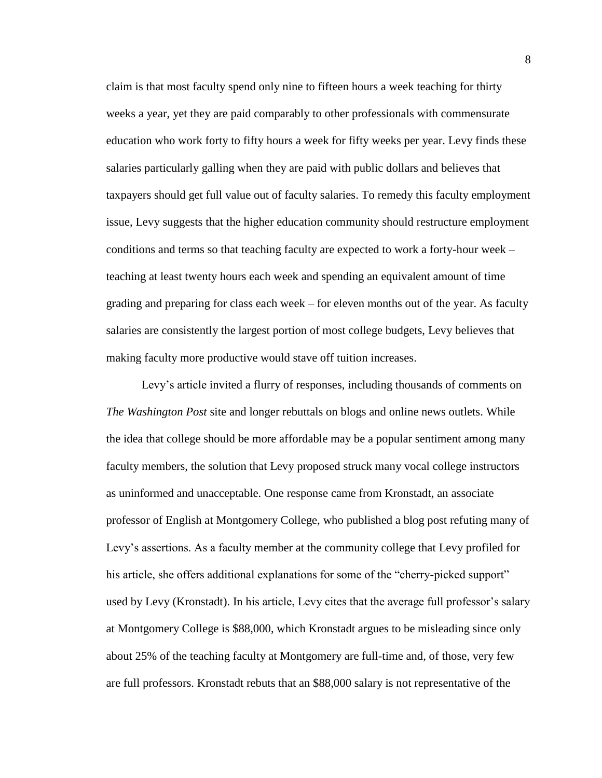claim is that most faculty spend only nine to fifteen hours a week teaching for thirty weeks a year, yet they are paid comparably to other professionals with commensurate education who work forty to fifty hours a week for fifty weeks per year. Levy finds these salaries particularly galling when they are paid with public dollars and believes that taxpayers should get full value out of faculty salaries. To remedy this faculty employment issue, Levy suggests that the higher education community should restructure employment conditions and terms so that teaching faculty are expected to work a forty-hour week – teaching at least twenty hours each week and spending an equivalent amount of time grading and preparing for class each week – for eleven months out of the year. As faculty salaries are consistently the largest portion of most college budgets, Levy believes that making faculty more productive would stave off tuition increases.

Levy's article invited a flurry of responses, including thousands of comments on *The Washington Post* site and longer rebuttals on blogs and online news outlets. While the idea that college should be more affordable may be a popular sentiment among many faculty members, the solution that Levy proposed struck many vocal college instructors as uninformed and unacceptable. One response came from Kronstadt, an associate professor of English at Montgomery College, who published a blog post refuting many of Levy's assertions. As a faculty member at the community college that Levy profiled for his article, she offers additional explanations for some of the "cherry-picked support" used by Levy (Kronstadt). In his article, Levy cites that the average full professor's salary at Montgomery College is \$88,000, which Kronstadt argues to be misleading since only about 25% of the teaching faculty at Montgomery are full-time and, of those, very few are full professors. Kronstadt rebuts that an \$88,000 salary is not representative of the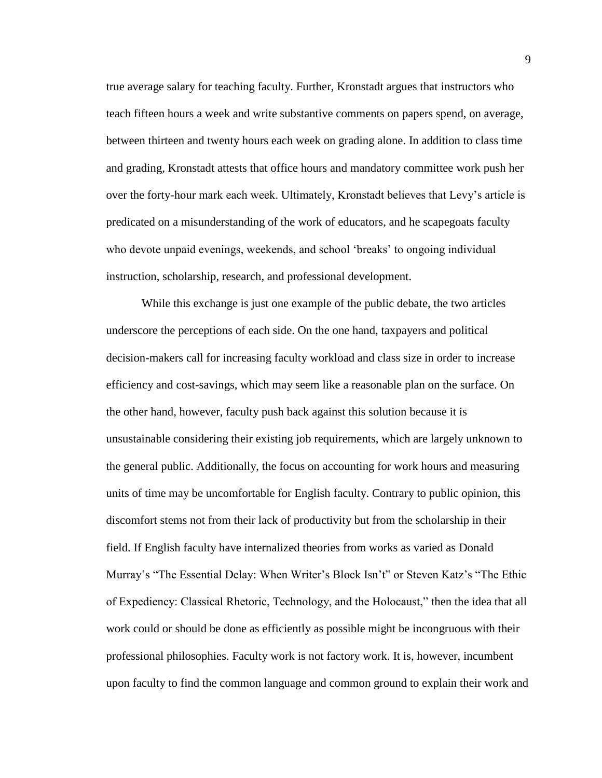true average salary for teaching faculty. Further, Kronstadt argues that instructors who teach fifteen hours a week and write substantive comments on papers spend, on average, between thirteen and twenty hours each week on grading alone. In addition to class time and grading, Kronstadt attests that office hours and mandatory committee work push her over the forty-hour mark each week. Ultimately, Kronstadt believes that Levy's article is predicated on a misunderstanding of the work of educators, and he scapegoats faculty who devote unpaid evenings, weekends, and school 'breaks' to ongoing individual instruction, scholarship, research, and professional development.

While this exchange is just one example of the public debate, the two articles underscore the perceptions of each side. On the one hand, taxpayers and political decision-makers call for increasing faculty workload and class size in order to increase efficiency and cost-savings, which may seem like a reasonable plan on the surface. On the other hand, however, faculty push back against this solution because it is unsustainable considering their existing job requirements, which are largely unknown to the general public. Additionally, the focus on accounting for work hours and measuring units of time may be uncomfortable for English faculty. Contrary to public opinion, this discomfort stems not from their lack of productivity but from the scholarship in their field. If English faculty have internalized theories from works as varied as Donald Murray's "The Essential Delay: When Writer's Block Isn't" or Steven Katz's "The Ethic of Expediency: Classical Rhetoric, Technology, and the Holocaust," then the idea that all work could or should be done as efficiently as possible might be incongruous with their professional philosophies. Faculty work is not factory work. It is, however, incumbent upon faculty to find the common language and common ground to explain their work and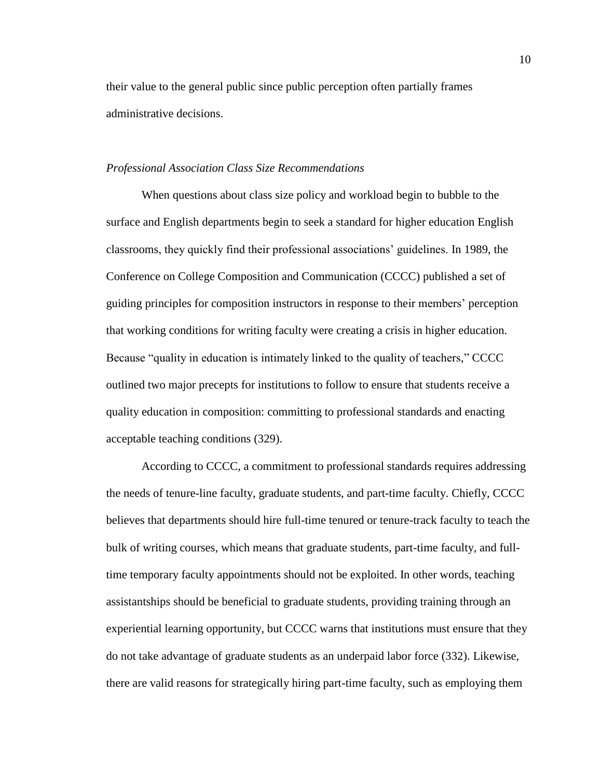their value to the general public since public perception often partially frames administrative decisions.

#### *Professional Association Class Size Recommendations*

When questions about class size policy and workload begin to bubble to the surface and English departments begin to seek a standard for higher education English classrooms, they quickly find their professional associations' guidelines. In 1989, the Conference on College Composition and Communication (CCCC) published a set of guiding principles for composition instructors in response to their members' perception that working conditions for writing faculty were creating a crisis in higher education. Because "quality in education is intimately linked to the quality of teachers," CCCC outlined two major precepts for institutions to follow to ensure that students receive a quality education in composition: committing to professional standards and enacting acceptable teaching conditions (329).

According to CCCC, a commitment to professional standards requires addressing the needs of tenure-line faculty, graduate students, and part-time faculty. Chiefly, CCCC believes that departments should hire full-time tenured or tenure-track faculty to teach the bulk of writing courses, which means that graduate students, part-time faculty, and fulltime temporary faculty appointments should not be exploited. In other words, teaching assistantships should be beneficial to graduate students, providing training through an experiential learning opportunity, but CCCC warns that institutions must ensure that they do not take advantage of graduate students as an underpaid labor force (332). Likewise, there are valid reasons for strategically hiring part-time faculty, such as employing them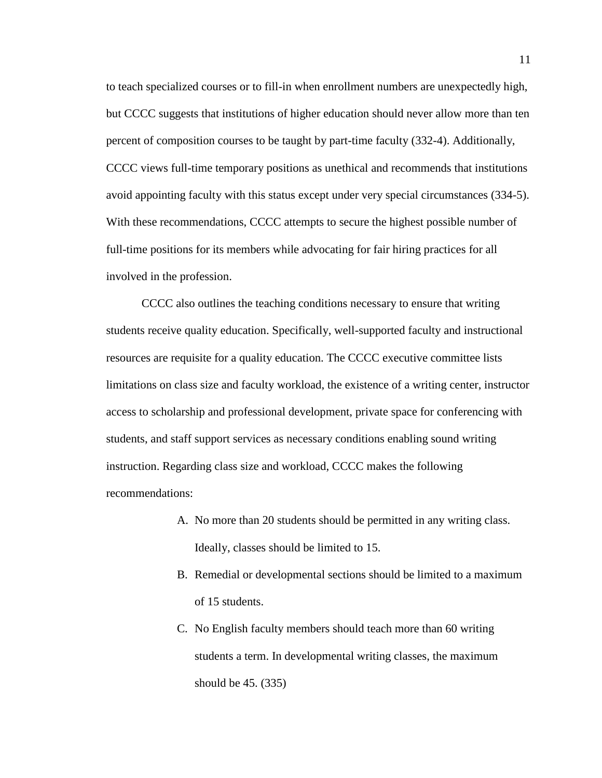to teach specialized courses or to fill-in when enrollment numbers are unexpectedly high, but CCCC suggests that institutions of higher education should never allow more than ten percent of composition courses to be taught by part-time faculty (332-4). Additionally, CCCC views full-time temporary positions as unethical and recommends that institutions avoid appointing faculty with this status except under very special circumstances (334-5). With these recommendations, CCCC attempts to secure the highest possible number of full-time positions for its members while advocating for fair hiring practices for all involved in the profession.

CCCC also outlines the teaching conditions necessary to ensure that writing students receive quality education. Specifically, well-supported faculty and instructional resources are requisite for a quality education. The CCCC executive committee lists limitations on class size and faculty workload, the existence of a writing center, instructor access to scholarship and professional development, private space for conferencing with students, and staff support services as necessary conditions enabling sound writing instruction. Regarding class size and workload, CCCC makes the following recommendations:

- A. No more than 20 students should be permitted in any writing class. Ideally, classes should be limited to 15.
- B. Remedial or developmental sections should be limited to a maximum of 15 students.
- C. No English faculty members should teach more than 60 writing students a term. In developmental writing classes, the maximum should be 45. (335)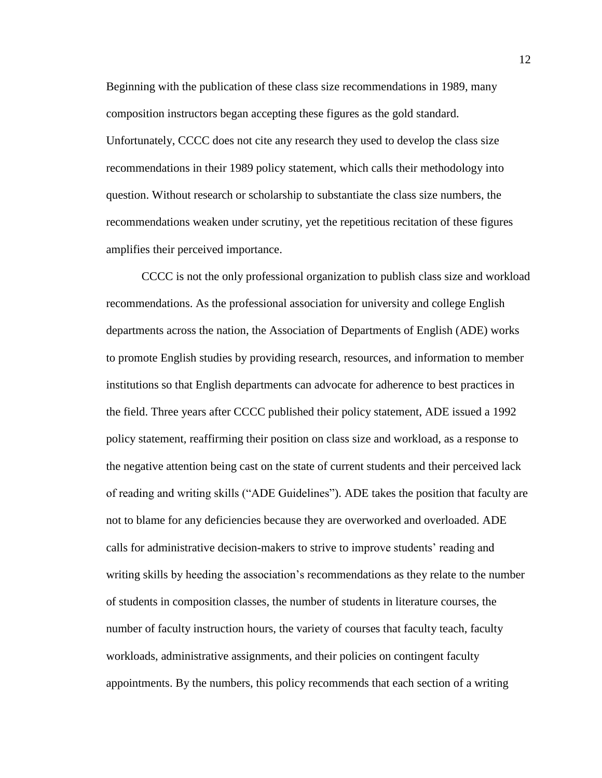Beginning with the publication of these class size recommendations in 1989, many composition instructors began accepting these figures as the gold standard. Unfortunately, CCCC does not cite any research they used to develop the class size recommendations in their 1989 policy statement, which calls their methodology into question. Without research or scholarship to substantiate the class size numbers, the recommendations weaken under scrutiny, yet the repetitious recitation of these figures amplifies their perceived importance.

CCCC is not the only professional organization to publish class size and workload recommendations. As the professional association for university and college English departments across the nation, the Association of Departments of English (ADE) works to promote English studies by providing research, resources, and information to member institutions so that English departments can advocate for adherence to best practices in the field. Three years after CCCC published their policy statement, ADE issued a 1992 policy statement, reaffirming their position on class size and workload, as a response to the negative attention being cast on the state of current students and their perceived lack of reading and writing skills ("ADE Guidelines"). ADE takes the position that faculty are not to blame for any deficiencies because they are overworked and overloaded. ADE calls for administrative decision-makers to strive to improve students' reading and writing skills by heeding the association's recommendations as they relate to the number of students in composition classes, the number of students in literature courses, the number of faculty instruction hours, the variety of courses that faculty teach, faculty workloads, administrative assignments, and their policies on contingent faculty appointments. By the numbers, this policy recommends that each section of a writing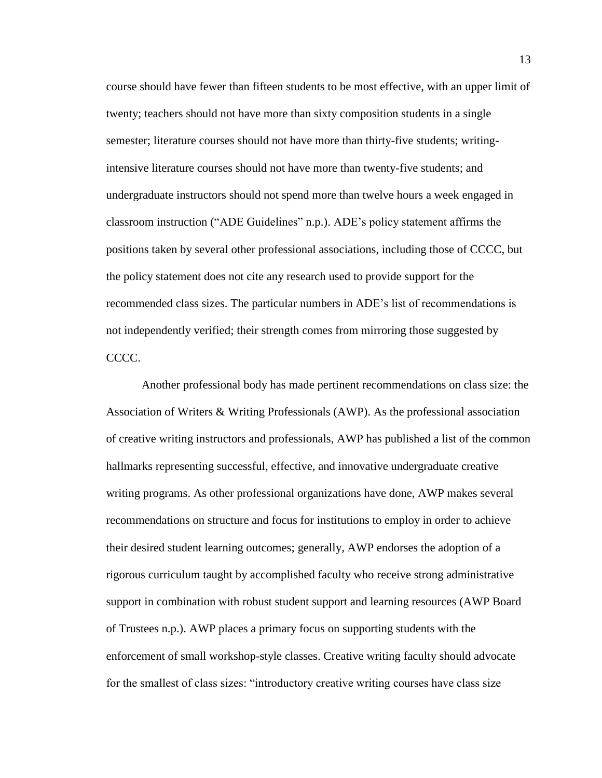course should have fewer than fifteen students to be most effective, with an upper limit of twenty; teachers should not have more than sixty composition students in a single semester; literature courses should not have more than thirty-five students; writingintensive literature courses should not have more than twenty-five students; and undergraduate instructors should not spend more than twelve hours a week engaged in classroom instruction ("ADE Guidelines" n.p.). ADE's policy statement affirms the positions taken by several other professional associations, including those of CCCC, but the policy statement does not cite any research used to provide support for the recommended class sizes. The particular numbers in ADE's list of recommendations is not independently verified; their strength comes from mirroring those suggested by CCCC.

Another professional body has made pertinent recommendations on class size: the Association of Writers & Writing Professionals (AWP). As the professional association of creative writing instructors and professionals, AWP has published a list of the common hallmarks representing successful, effective, and innovative undergraduate creative writing programs. As other professional organizations have done, AWP makes several recommendations on structure and focus for institutions to employ in order to achieve their desired student learning outcomes; generally, AWP endorses the adoption of a rigorous curriculum taught by accomplished faculty who receive strong administrative support in combination with robust student support and learning resources (AWP Board of Trustees n.p.). AWP places a primary focus on supporting students with the enforcement of small workshop-style classes. Creative writing faculty should advocate for the smallest of class sizes: "introductory creative writing courses have class size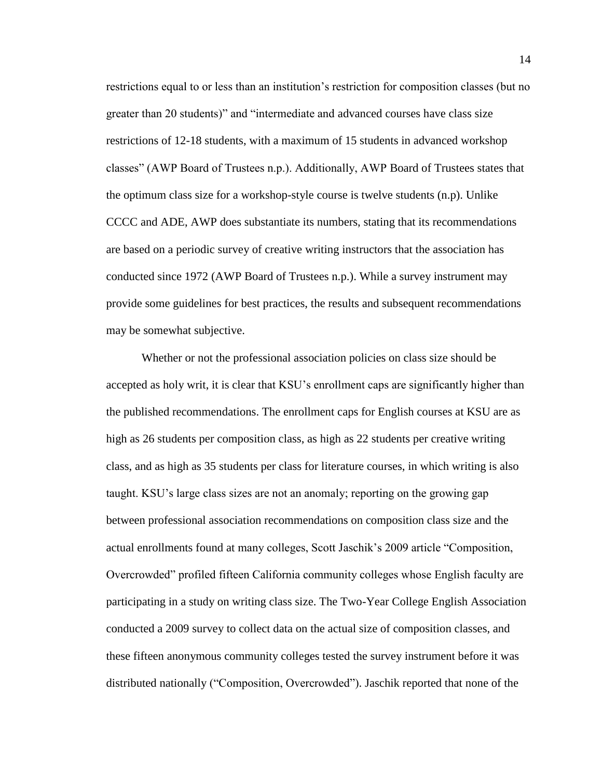restrictions equal to or less than an institution's restriction for composition classes (but no greater than 20 students)" and "intermediate and advanced courses have class size restrictions of 12-18 students, with a maximum of 15 students in advanced workshop classes" (AWP Board of Trustees n.p.). Additionally, AWP Board of Trustees states that the optimum class size for a workshop-style course is twelve students (n.p). Unlike CCCC and ADE, AWP does substantiate its numbers, stating that its recommendations are based on a periodic survey of creative writing instructors that the association has conducted since 1972 (AWP Board of Trustees n.p.). While a survey instrument may provide some guidelines for best practices, the results and subsequent recommendations may be somewhat subjective.

Whether or not the professional association policies on class size should be accepted as holy writ, it is clear that KSU's enrollment caps are significantly higher than the published recommendations. The enrollment caps for English courses at KSU are as high as 26 students per composition class, as high as 22 students per creative writing class, and as high as 35 students per class for literature courses, in which writing is also taught. KSU's large class sizes are not an anomaly; reporting on the growing gap between professional association recommendations on composition class size and the actual enrollments found at many colleges, Scott Jaschik's 2009 article "Composition, Overcrowded" profiled fifteen California community colleges whose English faculty are participating in a study on writing class size. The Two-Year College English Association conducted a 2009 survey to collect data on the actual size of composition classes, and these fifteen anonymous community colleges tested the survey instrument before it was distributed nationally ("Composition, Overcrowded"). Jaschik reported that none of the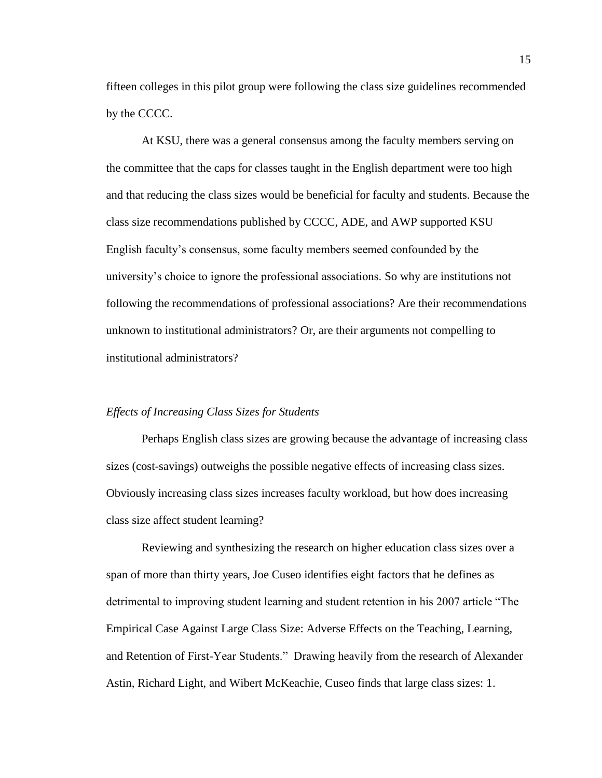fifteen colleges in this pilot group were following the class size guidelines recommended by the CCCC.

At KSU, there was a general consensus among the faculty members serving on the committee that the caps for classes taught in the English department were too high and that reducing the class sizes would be beneficial for faculty and students. Because the class size recommendations published by CCCC, ADE, and AWP supported KSU English faculty's consensus, some faculty members seemed confounded by the university's choice to ignore the professional associations. So why are institutions not following the recommendations of professional associations? Are their recommendations unknown to institutional administrators? Or, are their arguments not compelling to institutional administrators?

#### *Effects of Increasing Class Sizes for Students*

Perhaps English class sizes are growing because the advantage of increasing class sizes (cost-savings) outweighs the possible negative effects of increasing class sizes. Obviously increasing class sizes increases faculty workload, but how does increasing class size affect student learning?

Reviewing and synthesizing the research on higher education class sizes over a span of more than thirty years, Joe Cuseo identifies eight factors that he defines as detrimental to improving student learning and student retention in his 2007 article "The Empirical Case Against Large Class Size: Adverse Effects on the Teaching, Learning, and Retention of First-Year Students." Drawing heavily from the research of Alexander Astin, Richard Light, and Wibert McKeachie, Cuseo finds that large class sizes: 1.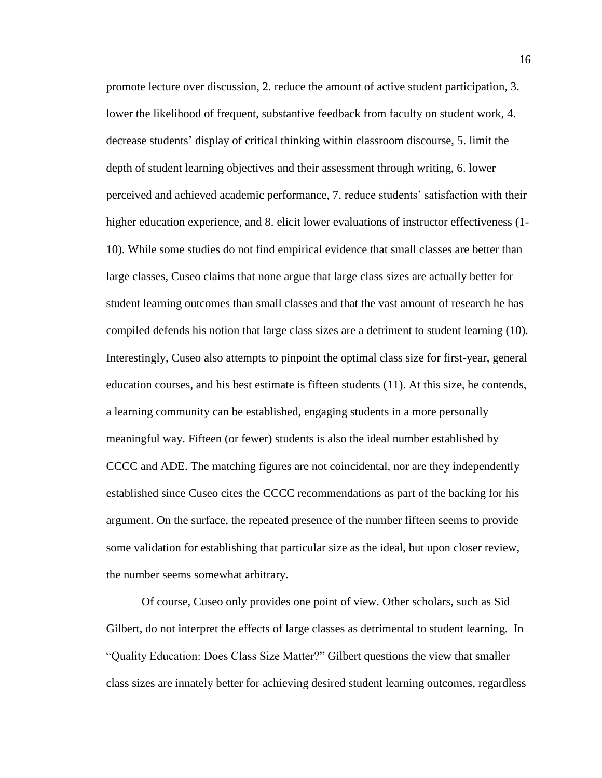promote lecture over discussion, 2. reduce the amount of active student participation, 3. lower the likelihood of frequent, substantive feedback from faculty on student work, 4. decrease students' display of critical thinking within classroom discourse, 5. limit the depth of student learning objectives and their assessment through writing, 6. lower perceived and achieved academic performance, 7. reduce students' satisfaction with their higher education experience, and 8. elicit lower evaluations of instructor effectiveness (1- 10). While some studies do not find empirical evidence that small classes are better than large classes, Cuseo claims that none argue that large class sizes are actually better for student learning outcomes than small classes and that the vast amount of research he has compiled defends his notion that large class sizes are a detriment to student learning (10). Interestingly, Cuseo also attempts to pinpoint the optimal class size for first-year, general education courses, and his best estimate is fifteen students (11). At this size, he contends, a learning community can be established, engaging students in a more personally meaningful way. Fifteen (or fewer) students is also the ideal number established by CCCC and ADE. The matching figures are not coincidental, nor are they independently established since Cuseo cites the CCCC recommendations as part of the backing for his argument. On the surface, the repeated presence of the number fifteen seems to provide some validation for establishing that particular size as the ideal, but upon closer review, the number seems somewhat arbitrary.

Of course, Cuseo only provides one point of view. Other scholars, such as Sid Gilbert, do not interpret the effects of large classes as detrimental to student learning. In "Quality Education: Does Class Size Matter?" Gilbert questions the view that smaller class sizes are innately better for achieving desired student learning outcomes, regardless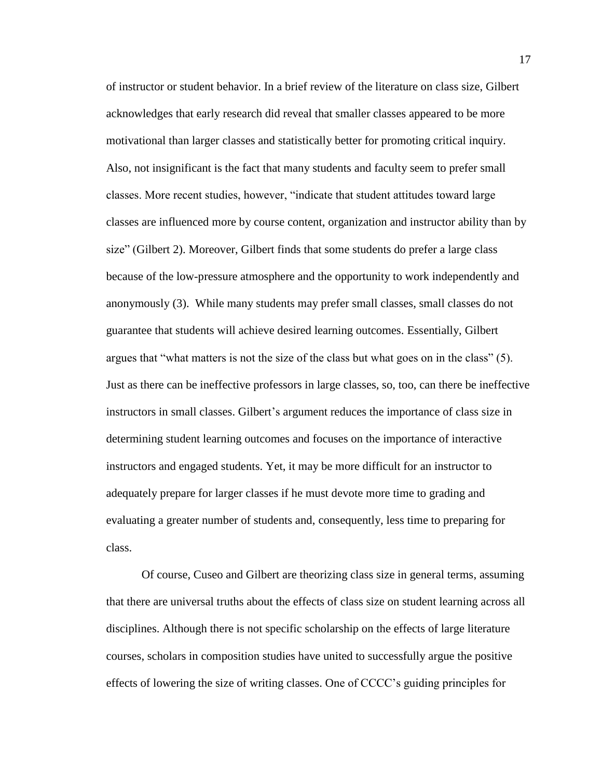of instructor or student behavior. In a brief review of the literature on class size, Gilbert acknowledges that early research did reveal that smaller classes appeared to be more motivational than larger classes and statistically better for promoting critical inquiry. Also, not insignificant is the fact that many students and faculty seem to prefer small classes. More recent studies, however, "indicate that student attitudes toward large classes are influenced more by course content, organization and instructor ability than by size" (Gilbert 2). Moreover, Gilbert finds that some students do prefer a large class because of the low-pressure atmosphere and the opportunity to work independently and anonymously (3). While many students may prefer small classes, small classes do not guarantee that students will achieve desired learning outcomes. Essentially, Gilbert argues that "what matters is not the size of the class but what goes on in the class" (5). Just as there can be ineffective professors in large classes, so, too, can there be ineffective instructors in small classes. Gilbert's argument reduces the importance of class size in determining student learning outcomes and focuses on the importance of interactive instructors and engaged students. Yet, it may be more difficult for an instructor to adequately prepare for larger classes if he must devote more time to grading and evaluating a greater number of students and, consequently, less time to preparing for class.

Of course, Cuseo and Gilbert are theorizing class size in general terms, assuming that there are universal truths about the effects of class size on student learning across all disciplines. Although there is not specific scholarship on the effects of large literature courses, scholars in composition studies have united to successfully argue the positive effects of lowering the size of writing classes. One of CCCC's guiding principles for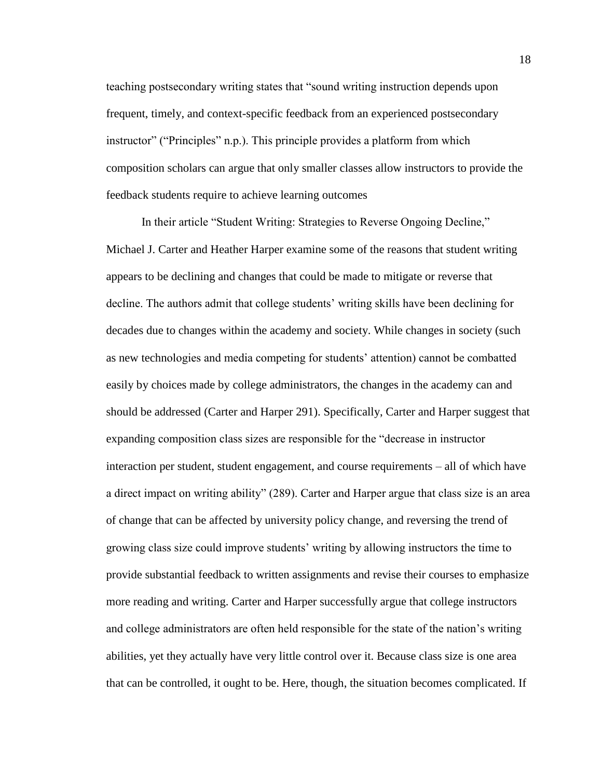teaching postsecondary writing states that "sound writing instruction depends upon frequent, timely, and context-specific feedback from an experienced postsecondary instructor" ("Principles" n.p.). This principle provides a platform from which composition scholars can argue that only smaller classes allow instructors to provide the feedback students require to achieve learning outcomes

In their article "Student Writing: Strategies to Reverse Ongoing Decline," Michael J. Carter and Heather Harper examine some of the reasons that student writing appears to be declining and changes that could be made to mitigate or reverse that decline. The authors admit that college students' writing skills have been declining for decades due to changes within the academy and society. While changes in society (such as new technologies and media competing for students' attention) cannot be combatted easily by choices made by college administrators, the changes in the academy can and should be addressed (Carter and Harper 291). Specifically, Carter and Harper suggest that expanding composition class sizes are responsible for the "decrease in instructor interaction per student, student engagement, and course requirements – all of which have a direct impact on writing ability" (289). Carter and Harper argue that class size is an area of change that can be affected by university policy change, and reversing the trend of growing class size could improve students' writing by allowing instructors the time to provide substantial feedback to written assignments and revise their courses to emphasize more reading and writing. Carter and Harper successfully argue that college instructors and college administrators are often held responsible for the state of the nation's writing abilities, yet they actually have very little control over it. Because class size is one area that can be controlled, it ought to be. Here, though, the situation becomes complicated. If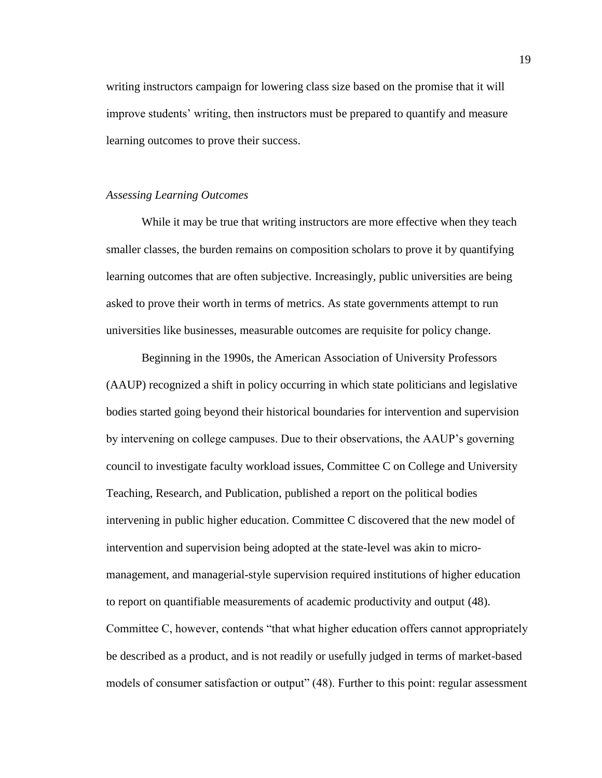writing instructors campaign for lowering class size based on the promise that it will improve students' writing, then instructors must be prepared to quantify and measure learning outcomes to prove their success.

#### *Assessing Learning Outcomes*

While it may be true that writing instructors are more effective when they teach smaller classes, the burden remains on composition scholars to prove it by quantifying learning outcomes that are often subjective. Increasingly, public universities are being asked to prove their worth in terms of metrics. As state governments attempt to run universities like businesses, measurable outcomes are requisite for policy change.

Beginning in the 1990s, the American Association of University Professors (AAUP) recognized a shift in policy occurring in which state politicians and legislative bodies started going beyond their historical boundaries for intervention and supervision by intervening on college campuses. Due to their observations, the AAUP's governing council to investigate faculty workload issues, Committee C on College and University Teaching, Research, and Publication, published a report on the political bodies intervening in public higher education. Committee C discovered that the new model of intervention and supervision being adopted at the state-level was akin to micromanagement, and managerial-style supervision required institutions of higher education to report on quantifiable measurements of academic productivity and output (48). Committee C, however, contends "that what higher education offers cannot appropriately be described as a product, and is not readily or usefully judged in terms of market-based models of consumer satisfaction or output" (48). Further to this point: regular assessment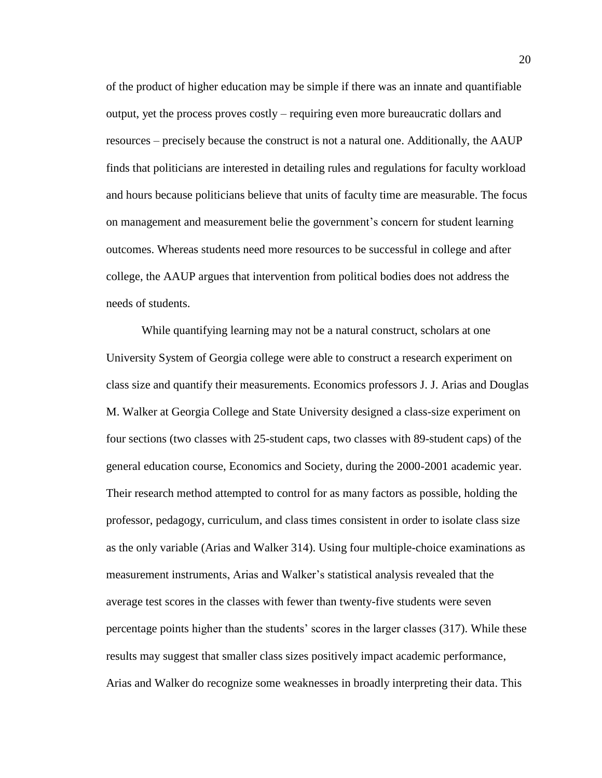of the product of higher education may be simple if there was an innate and quantifiable output, yet the process proves costly – requiring even more bureaucratic dollars and resources – precisely because the construct is not a natural one. Additionally, the AAUP finds that politicians are interested in detailing rules and regulations for faculty workload and hours because politicians believe that units of faculty time are measurable. The focus on management and measurement belie the government's concern for student learning outcomes. Whereas students need more resources to be successful in college and after college, the AAUP argues that intervention from political bodies does not address the needs of students.

While quantifying learning may not be a natural construct, scholars at one University System of Georgia college were able to construct a research experiment on class size and quantify their measurements. Economics professors J. J. Arias and Douglas M. Walker at Georgia College and State University designed a class-size experiment on four sections (two classes with 25-student caps, two classes with 89-student caps) of the general education course, Economics and Society, during the 2000-2001 academic year. Their research method attempted to control for as many factors as possible, holding the professor, pedagogy, curriculum, and class times consistent in order to isolate class size as the only variable (Arias and Walker 314). Using four multiple-choice examinations as measurement instruments, Arias and Walker's statistical analysis revealed that the average test scores in the classes with fewer than twenty-five students were seven percentage points higher than the students' scores in the larger classes (317). While these results may suggest that smaller class sizes positively impact academic performance, Arias and Walker do recognize some weaknesses in broadly interpreting their data. This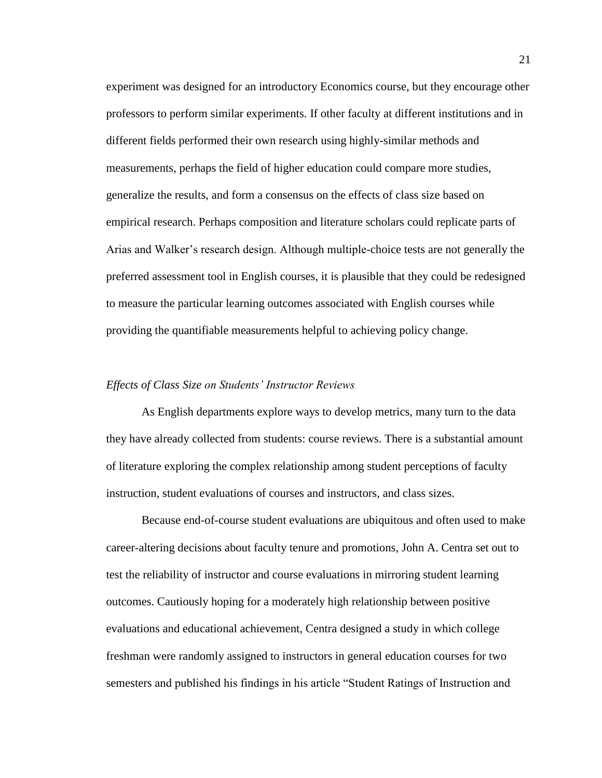experiment was designed for an introductory Economics course, but they encourage other professors to perform similar experiments. If other faculty at different institutions and in different fields performed their own research using highly-similar methods and measurements, perhaps the field of higher education could compare more studies, generalize the results, and form a consensus on the effects of class size based on empirical research. Perhaps composition and literature scholars could replicate parts of Arias and Walker's research design. Although multiple-choice tests are not generally the preferred assessment tool in English courses, it is plausible that they could be redesigned to measure the particular learning outcomes associated with English courses while providing the quantifiable measurements helpful to achieving policy change.

#### *Effects of Class Size on Students' Instructor Reviews*

As English departments explore ways to develop metrics, many turn to the data they have already collected from students: course reviews. There is a substantial amount of literature exploring the complex relationship among student perceptions of faculty instruction, student evaluations of courses and instructors, and class sizes.

Because end-of-course student evaluations are ubiquitous and often used to make career-altering decisions about faculty tenure and promotions, John A. Centra set out to test the reliability of instructor and course evaluations in mirroring student learning outcomes. Cautiously hoping for a moderately high relationship between positive evaluations and educational achievement, Centra designed a study in which college freshman were randomly assigned to instructors in general education courses for two semesters and published his findings in his article "Student Ratings of Instruction and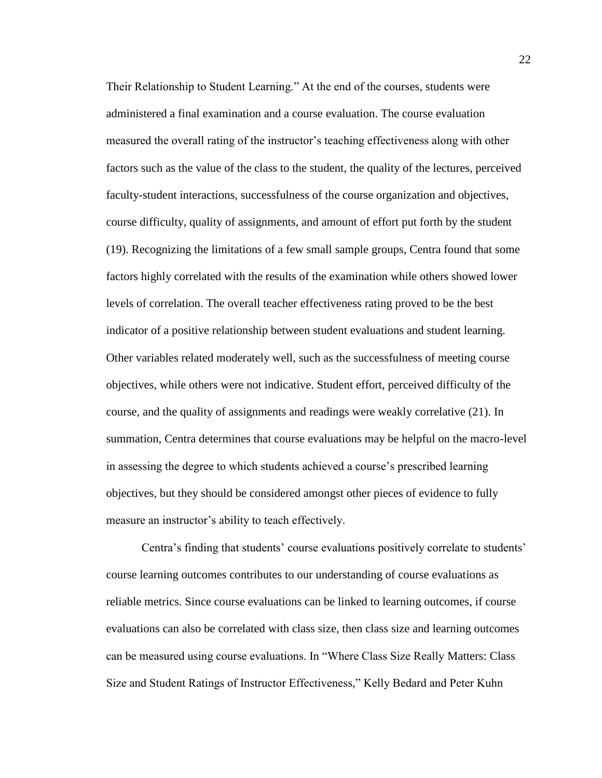Their Relationship to Student Learning." At the end of the courses, students were administered a final examination and a course evaluation. The course evaluation measured the overall rating of the instructor's teaching effectiveness along with other factors such as the value of the class to the student, the quality of the lectures, perceived faculty-student interactions, successfulness of the course organization and objectives, course difficulty, quality of assignments, and amount of effort put forth by the student (19). Recognizing the limitations of a few small sample groups, Centra found that some factors highly correlated with the results of the examination while others showed lower levels of correlation. The overall teacher effectiveness rating proved to be the best indicator of a positive relationship between student evaluations and student learning. Other variables related moderately well, such as the successfulness of meeting course objectives, while others were not indicative. Student effort, perceived difficulty of the course, and the quality of assignments and readings were weakly correlative (21). In summation, Centra determines that course evaluations may be helpful on the macro-level in assessing the degree to which students achieved a course's prescribed learning objectives, but they should be considered amongst other pieces of evidence to fully measure an instructor's ability to teach effectively.

Centra's finding that students' course evaluations positively correlate to students' course learning outcomes contributes to our understanding of course evaluations as reliable metrics. Since course evaluations can be linked to learning outcomes, if course evaluations can also be correlated with class size, then class size and learning outcomes can be measured using course evaluations. In "Where Class Size Really Matters: Class Size and Student Ratings of Instructor Effectiveness," Kelly Bedard and Peter Kuhn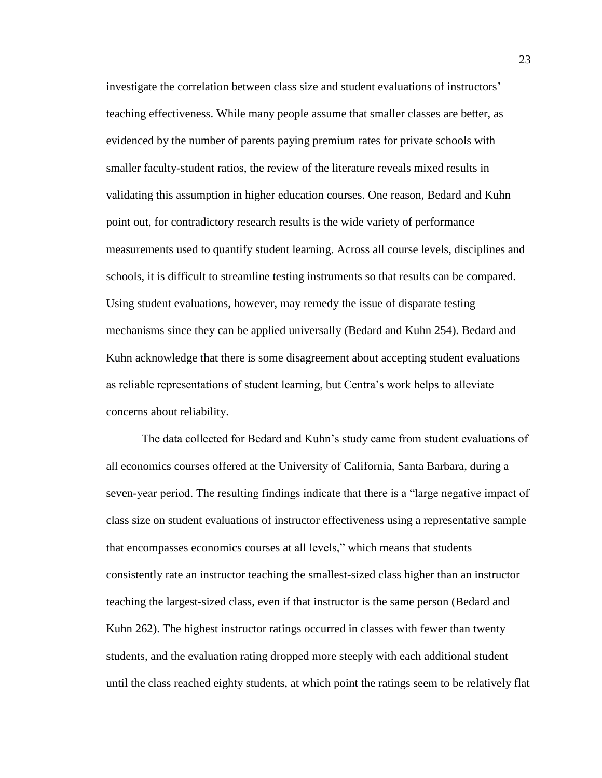investigate the correlation between class size and student evaluations of instructors' teaching effectiveness. While many people assume that smaller classes are better, as evidenced by the number of parents paying premium rates for private schools with smaller faculty-student ratios, the review of the literature reveals mixed results in validating this assumption in higher education courses. One reason, Bedard and Kuhn point out, for contradictory research results is the wide variety of performance measurements used to quantify student learning. Across all course levels, disciplines and schools, it is difficult to streamline testing instruments so that results can be compared. Using student evaluations, however, may remedy the issue of disparate testing mechanisms since they can be applied universally (Bedard and Kuhn 254). Bedard and Kuhn acknowledge that there is some disagreement about accepting student evaluations as reliable representations of student learning, but Centra's work helps to alleviate concerns about reliability.

The data collected for Bedard and Kuhn's study came from student evaluations of all economics courses offered at the University of California, Santa Barbara, during a seven-year period. The resulting findings indicate that there is a "large negative impact of class size on student evaluations of instructor effectiveness using a representative sample that encompasses economics courses at all levels," which means that students consistently rate an instructor teaching the smallest-sized class higher than an instructor teaching the largest-sized class, even if that instructor is the same person (Bedard and Kuhn 262). The highest instructor ratings occurred in classes with fewer than twenty students, and the evaluation rating dropped more steeply with each additional student until the class reached eighty students, at which point the ratings seem to be relatively flat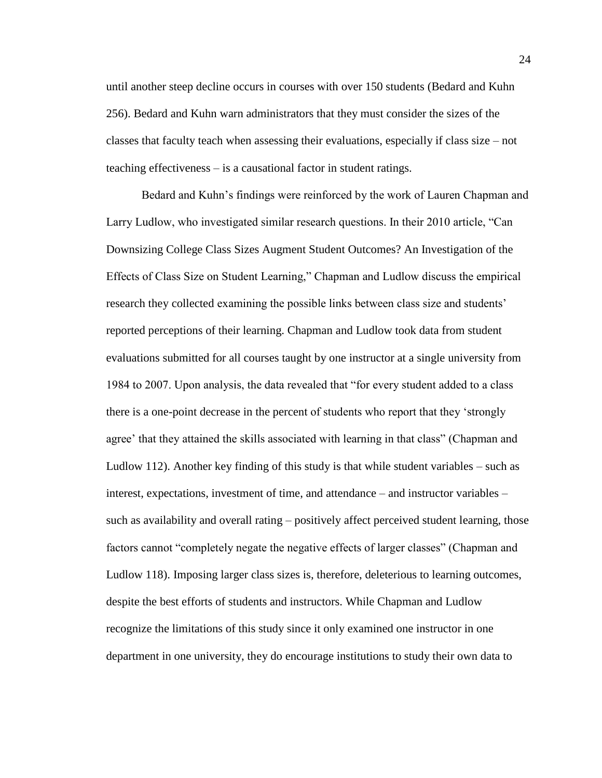until another steep decline occurs in courses with over 150 students (Bedard and Kuhn 256). Bedard and Kuhn warn administrators that they must consider the sizes of the classes that faculty teach when assessing their evaluations, especially if class size – not teaching effectiveness – is a causational factor in student ratings.

Bedard and Kuhn's findings were reinforced by the work of Lauren Chapman and Larry Ludlow, who investigated similar research questions. In their 2010 article, "Can Downsizing College Class Sizes Augment Student Outcomes? An Investigation of the Effects of Class Size on Student Learning," Chapman and Ludlow discuss the empirical research they collected examining the possible links between class size and students' reported perceptions of their learning. Chapman and Ludlow took data from student evaluations submitted for all courses taught by one instructor at a single university from 1984 to 2007. Upon analysis, the data revealed that "for every student added to a class there is a one-point decrease in the percent of students who report that they 'strongly agree' that they attained the skills associated with learning in that class" (Chapman and Ludlow 112). Another key finding of this study is that while student variables – such as interest, expectations, investment of time, and attendance – and instructor variables – such as availability and overall rating – positively affect perceived student learning, those factors cannot "completely negate the negative effects of larger classes" (Chapman and Ludlow 118). Imposing larger class sizes is, therefore, deleterious to learning outcomes, despite the best efforts of students and instructors. While Chapman and Ludlow recognize the limitations of this study since it only examined one instructor in one department in one university, they do encourage institutions to study their own data to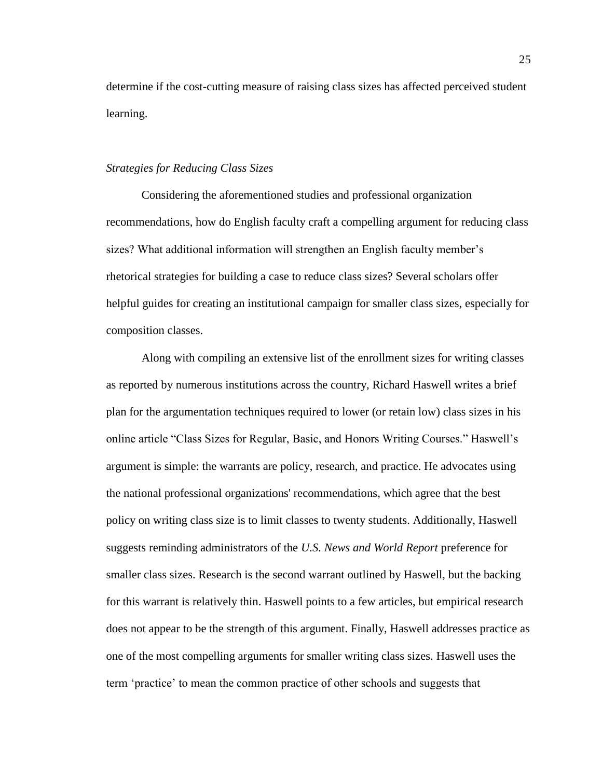determine if the cost-cutting measure of raising class sizes has affected perceived student learning.

#### *Strategies for Reducing Class Sizes*

Considering the aforementioned studies and professional organization recommendations, how do English faculty craft a compelling argument for reducing class sizes? What additional information will strengthen an English faculty member's rhetorical strategies for building a case to reduce class sizes? Several scholars offer helpful guides for creating an institutional campaign for smaller class sizes, especially for composition classes.

Along with compiling an extensive list of the enrollment sizes for writing classes as reported by numerous institutions across the country, Richard Haswell writes a brief plan for the argumentation techniques required to lower (or retain low) class sizes in his online article "Class Sizes for Regular, Basic, and Honors Writing Courses." Haswell's argument is simple: the warrants are policy, research, and practice. He advocates using the national professional organizations' recommendations, which agree that the best policy on writing class size is to limit classes to twenty students. Additionally, Haswell suggests reminding administrators of the *U.S. News and World Report* preference for smaller class sizes. Research is the second warrant outlined by Haswell, but the backing for this warrant is relatively thin. Haswell points to a few articles, but empirical research does not appear to be the strength of this argument. Finally, Haswell addresses practice as one of the most compelling arguments for smaller writing class sizes. Haswell uses the term 'practice' to mean the common practice of other schools and suggests that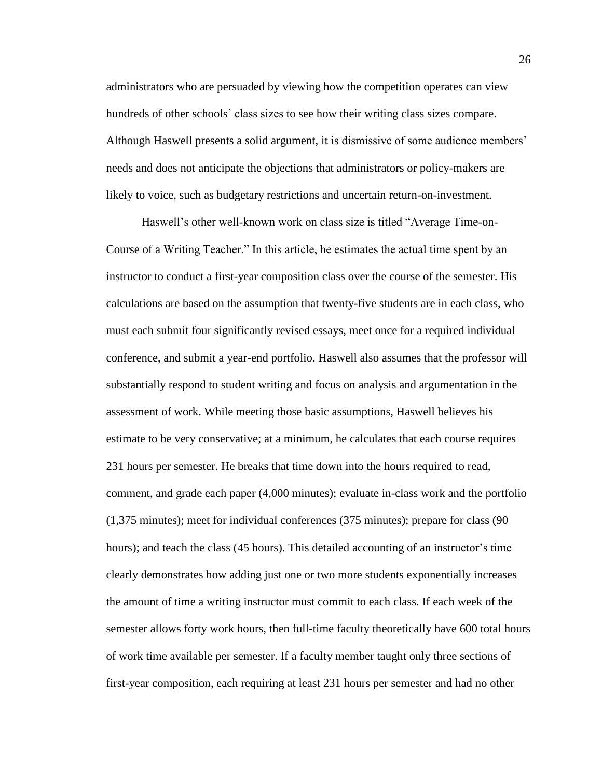administrators who are persuaded by viewing how the competition operates can view hundreds of other schools' class sizes to see how their writing class sizes compare. Although Haswell presents a solid argument, it is dismissive of some audience members' needs and does not anticipate the objections that administrators or policy-makers are likely to voice, such as budgetary restrictions and uncertain return-on-investment.

Haswell's other well-known work on class size is titled "Average Time-on-Course of a Writing Teacher." In this article, he estimates the actual time spent by an instructor to conduct a first-year composition class over the course of the semester. His calculations are based on the assumption that twenty-five students are in each class, who must each submit four significantly revised essays, meet once for a required individual conference, and submit a year-end portfolio. Haswell also assumes that the professor will substantially respond to student writing and focus on analysis and argumentation in the assessment of work. While meeting those basic assumptions, Haswell believes his estimate to be very conservative; at a minimum, he calculates that each course requires 231 hours per semester. He breaks that time down into the hours required to read, comment, and grade each paper (4,000 minutes); evaluate in-class work and the portfolio (1,375 minutes); meet for individual conferences (375 minutes); prepare for class (90 hours); and teach the class (45 hours). This detailed accounting of an instructor's time clearly demonstrates how adding just one or two more students exponentially increases the amount of time a writing instructor must commit to each class. If each week of the semester allows forty work hours, then full-time faculty theoretically have 600 total hours of work time available per semester. If a faculty member taught only three sections of first-year composition, each requiring at least 231 hours per semester and had no other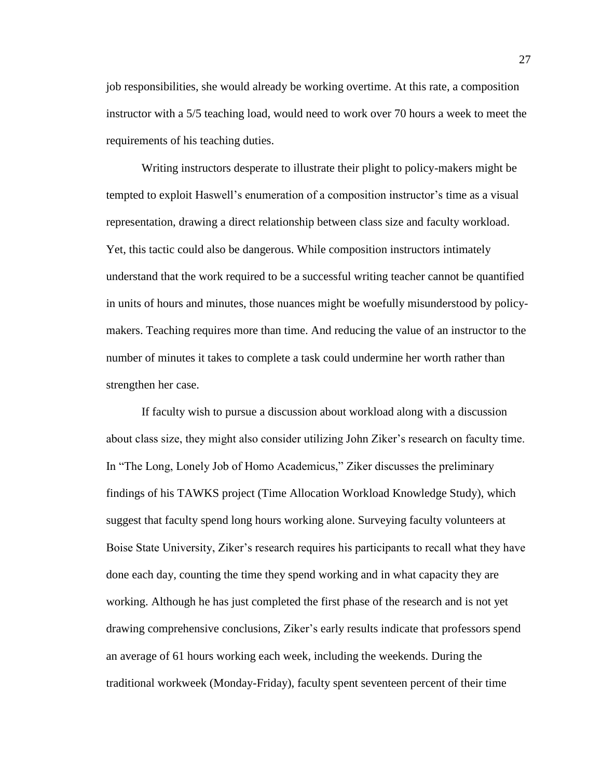job responsibilities, she would already be working overtime. At this rate, a composition instructor with a 5/5 teaching load, would need to work over 70 hours a week to meet the requirements of his teaching duties.

Writing instructors desperate to illustrate their plight to policy-makers might be tempted to exploit Haswell's enumeration of a composition instructor's time as a visual representation, drawing a direct relationship between class size and faculty workload. Yet, this tactic could also be dangerous. While composition instructors intimately understand that the work required to be a successful writing teacher cannot be quantified in units of hours and minutes, those nuances might be woefully misunderstood by policymakers. Teaching requires more than time. And reducing the value of an instructor to the number of minutes it takes to complete a task could undermine her worth rather than strengthen her case.

If faculty wish to pursue a discussion about workload along with a discussion about class size, they might also consider utilizing John Ziker's research on faculty time. In "The Long, Lonely Job of Homo Academicus," Ziker discusses the preliminary findings of his TAWKS project (Time Allocation Workload Knowledge Study), which suggest that faculty spend long hours working alone. Surveying faculty volunteers at Boise State University, Ziker's research requires his participants to recall what they have done each day, counting the time they spend working and in what capacity they are working. Although he has just completed the first phase of the research and is not yet drawing comprehensive conclusions, Ziker's early results indicate that professors spend an average of 61 hours working each week, including the weekends. During the traditional workweek (Monday-Friday), faculty spent seventeen percent of their time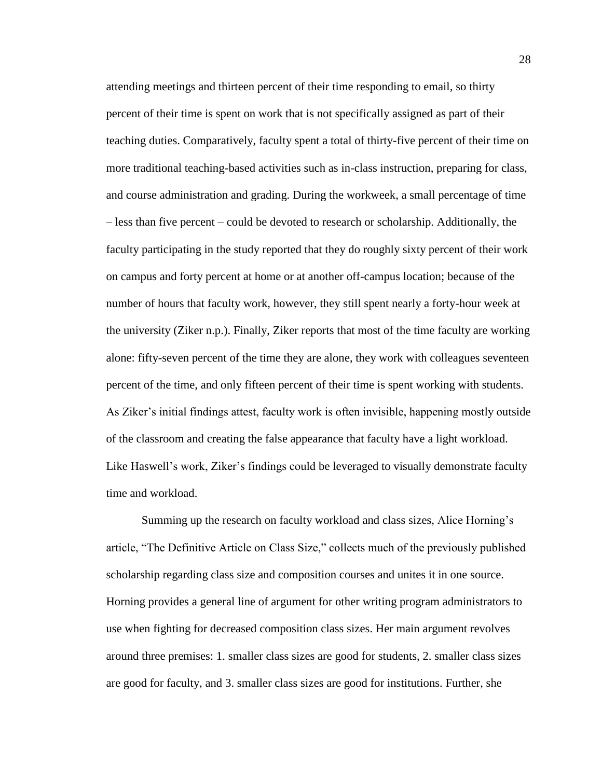attending meetings and thirteen percent of their time responding to email, so thirty percent of their time is spent on work that is not specifically assigned as part of their teaching duties. Comparatively, faculty spent a total of thirty-five percent of their time on more traditional teaching-based activities such as in-class instruction, preparing for class, and course administration and grading. During the workweek, a small percentage of time – less than five percent – could be devoted to research or scholarship. Additionally, the faculty participating in the study reported that they do roughly sixty percent of their work on campus and forty percent at home or at another off-campus location; because of the number of hours that faculty work, however, they still spent nearly a forty-hour week at the university (Ziker n.p.). Finally, Ziker reports that most of the time faculty are working alone: fifty-seven percent of the time they are alone, they work with colleagues seventeen percent of the time, and only fifteen percent of their time is spent working with students. As Ziker's initial findings attest, faculty work is often invisible, happening mostly outside of the classroom and creating the false appearance that faculty have a light workload. Like Haswell's work, Ziker's findings could be leveraged to visually demonstrate faculty time and workload.

Summing up the research on faculty workload and class sizes, Alice Horning's article, "The Definitive Article on Class Size," collects much of the previously published scholarship regarding class size and composition courses and unites it in one source. Horning provides a general line of argument for other writing program administrators to use when fighting for decreased composition class sizes. Her main argument revolves around three premises: 1. smaller class sizes are good for students, 2. smaller class sizes are good for faculty, and 3. smaller class sizes are good for institutions. Further, she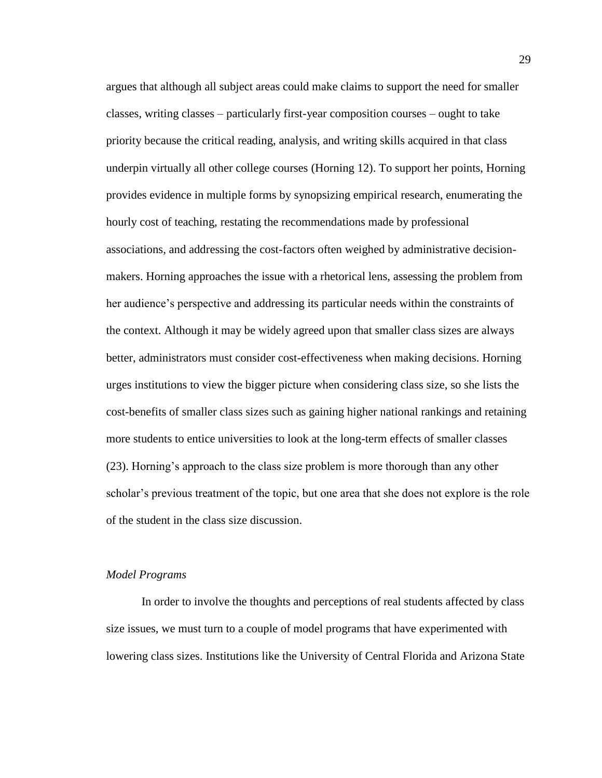argues that although all subject areas could make claims to support the need for smaller classes, writing classes – particularly first-year composition courses – ought to take priority because the critical reading, analysis, and writing skills acquired in that class underpin virtually all other college courses (Horning 12). To support her points, Horning provides evidence in multiple forms by synopsizing empirical research, enumerating the hourly cost of teaching, restating the recommendations made by professional associations, and addressing the cost-factors often weighed by administrative decisionmakers. Horning approaches the issue with a rhetorical lens, assessing the problem from her audience's perspective and addressing its particular needs within the constraints of the context. Although it may be widely agreed upon that smaller class sizes are always better, administrators must consider cost-effectiveness when making decisions. Horning urges institutions to view the bigger picture when considering class size, so she lists the cost-benefits of smaller class sizes such as gaining higher national rankings and retaining more students to entice universities to look at the long-term effects of smaller classes (23). Horning's approach to the class size problem is more thorough than any other scholar's previous treatment of the topic, but one area that she does not explore is the role of the student in the class size discussion.

#### *Model Programs*

In order to involve the thoughts and perceptions of real students affected by class size issues, we must turn to a couple of model programs that have experimented with lowering class sizes. Institutions like the University of Central Florida and Arizona State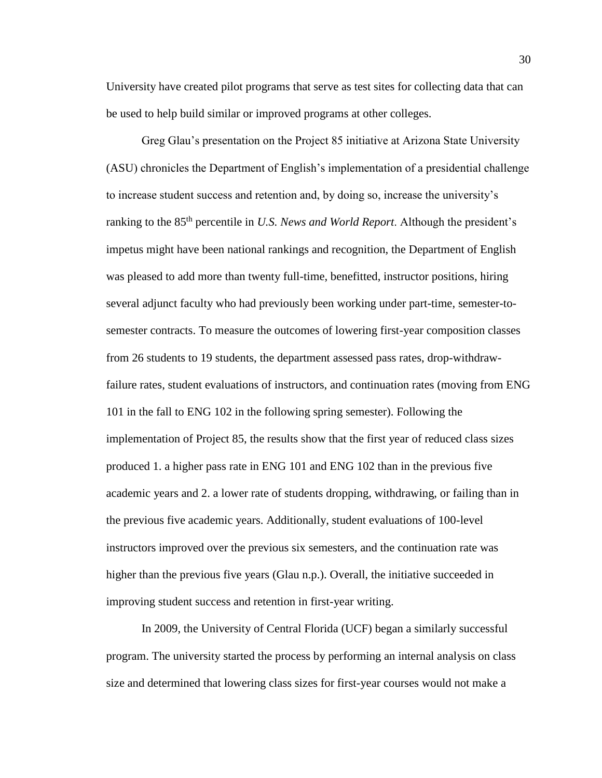University have created pilot programs that serve as test sites for collecting data that can be used to help build similar or improved programs at other colleges.

Greg Glau's presentation on the Project 85 initiative at Arizona State University (ASU) chronicles the Department of English's implementation of a presidential challenge to increase student success and retention and, by doing so, increase the university's ranking to the 85th percentile in *U.S. News and World Report*. Although the president's impetus might have been national rankings and recognition, the Department of English was pleased to add more than twenty full-time, benefitted, instructor positions, hiring several adjunct faculty who had previously been working under part-time, semester-tosemester contracts. To measure the outcomes of lowering first-year composition classes from 26 students to 19 students, the department assessed pass rates, drop-withdrawfailure rates, student evaluations of instructors, and continuation rates (moving from ENG 101 in the fall to ENG 102 in the following spring semester). Following the implementation of Project 85, the results show that the first year of reduced class sizes produced 1. a higher pass rate in ENG 101 and ENG 102 than in the previous five academic years and 2. a lower rate of students dropping, withdrawing, or failing than in the previous five academic years. Additionally, student evaluations of 100-level instructors improved over the previous six semesters, and the continuation rate was higher than the previous five years (Glau n.p.). Overall, the initiative succeeded in improving student success and retention in first-year writing.

In 2009, the University of Central Florida (UCF) began a similarly successful program. The university started the process by performing an internal analysis on class size and determined that lowering class sizes for first-year courses would not make a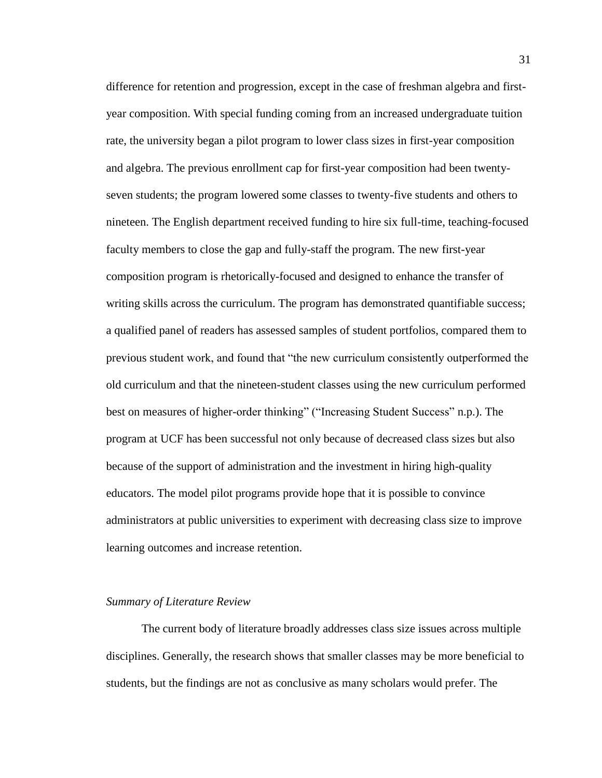difference for retention and progression, except in the case of freshman algebra and firstyear composition. With special funding coming from an increased undergraduate tuition rate, the university began a pilot program to lower class sizes in first-year composition and algebra. The previous enrollment cap for first-year composition had been twentyseven students; the program lowered some classes to twenty-five students and others to nineteen. The English department received funding to hire six full-time, teaching-focused faculty members to close the gap and fully-staff the program. The new first-year composition program is rhetorically-focused and designed to enhance the transfer of writing skills across the curriculum. The program has demonstrated quantifiable success; a qualified panel of readers has assessed samples of student portfolios, compared them to previous student work, and found that "the new curriculum consistently outperformed the old curriculum and that the nineteen-student classes using the new curriculum performed best on measures of higher-order thinking" ("Increasing Student Success" n.p.). The program at UCF has been successful not only because of decreased class sizes but also because of the support of administration and the investment in hiring high-quality educators. The model pilot programs provide hope that it is possible to convince administrators at public universities to experiment with decreasing class size to improve learning outcomes and increase retention.

#### *Summary of Literature Review*

The current body of literature broadly addresses class size issues across multiple disciplines. Generally, the research shows that smaller classes may be more beneficial to students, but the findings are not as conclusive as many scholars would prefer. The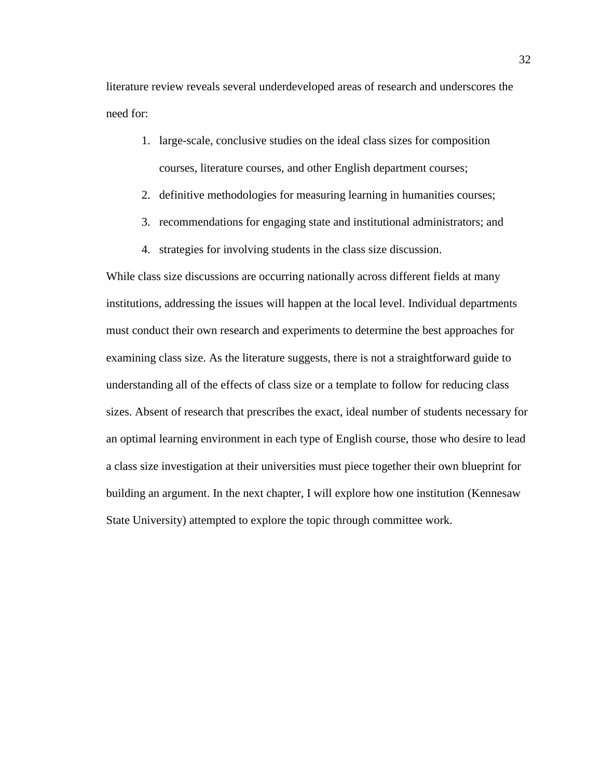literature review reveals several underdeveloped areas of research and underscores the need for:

- 1. large-scale, conclusive studies on the ideal class sizes for composition courses, literature courses, and other English department courses;
- 2. definitive methodologies for measuring learning in humanities courses;
- 3. recommendations for engaging state and institutional administrators; and
- 4. strategies for involving students in the class size discussion.

While class size discussions are occurring nationally across different fields at many institutions, addressing the issues will happen at the local level. Individual departments must conduct their own research and experiments to determine the best approaches for examining class size. As the literature suggests, there is not a straightforward guide to understanding all of the effects of class size or a template to follow for reducing class sizes. Absent of research that prescribes the exact, ideal number of students necessary for an optimal learning environment in each type of English course, those who desire to lead a class size investigation at their universities must piece together their own blueprint for building an argument. In the next chapter, I will explore how one institution (Kennesaw State University) attempted to explore the topic through committee work.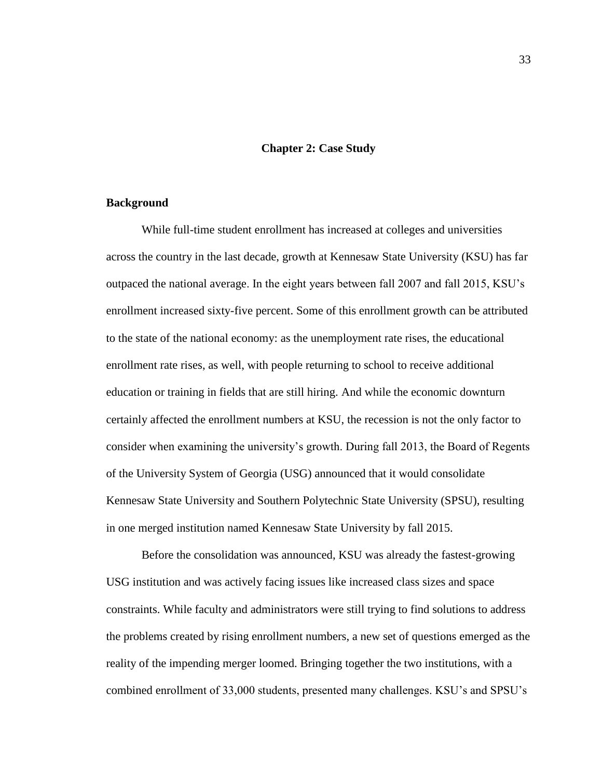## **Chapter 2: Case Study**

### **Background**

While full-time student enrollment has increased at colleges and universities across the country in the last decade, growth at Kennesaw State University (KSU) has far outpaced the national average. In the eight years between fall 2007 and fall 2015, KSU's enrollment increased sixty-five percent. Some of this enrollment growth can be attributed to the state of the national economy: as the unemployment rate rises, the educational enrollment rate rises, as well, with people returning to school to receive additional education or training in fields that are still hiring. And while the economic downturn certainly affected the enrollment numbers at KSU, the recession is not the only factor to consider when examining the university's growth. During fall 2013, the Board of Regents of the University System of Georgia (USG) announced that it would consolidate Kennesaw State University and Southern Polytechnic State University (SPSU), resulting in one merged institution named Kennesaw State University by fall 2015.

Before the consolidation was announced, KSU was already the fastest-growing USG institution and was actively facing issues like increased class sizes and space constraints. While faculty and administrators were still trying to find solutions to address the problems created by rising enrollment numbers, a new set of questions emerged as the reality of the impending merger loomed. Bringing together the two institutions, with a combined enrollment of 33,000 students, presented many challenges. KSU's and SPSU's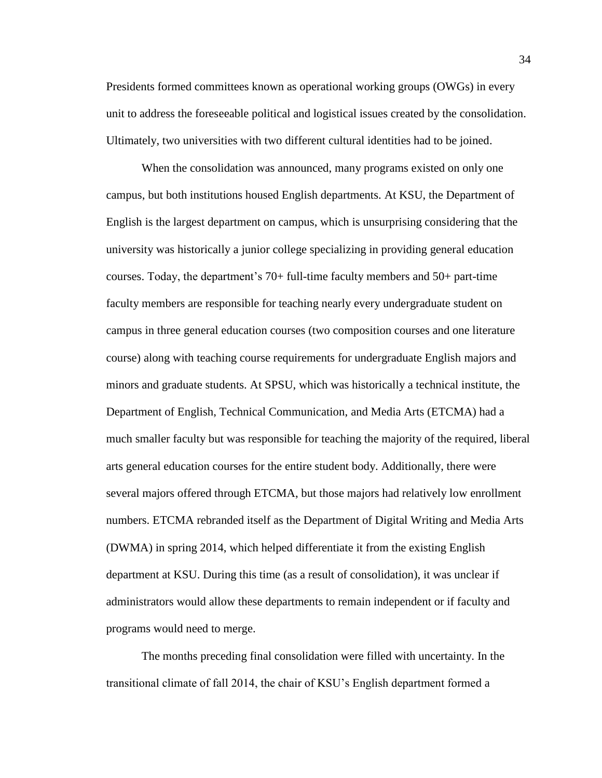Presidents formed committees known as operational working groups (OWGs) in every unit to address the foreseeable political and logistical issues created by the consolidation. Ultimately, two universities with two different cultural identities had to be joined.

When the consolidation was announced, many programs existed on only one campus, but both institutions housed English departments. At KSU, the Department of English is the largest department on campus, which is unsurprising considering that the university was historically a junior college specializing in providing general education courses. Today, the department's 70+ full-time faculty members and 50+ part-time faculty members are responsible for teaching nearly every undergraduate student on campus in three general education courses (two composition courses and one literature course) along with teaching course requirements for undergraduate English majors and minors and graduate students. At SPSU, which was historically a technical institute, the Department of English, Technical Communication, and Media Arts (ETCMA) had a much smaller faculty but was responsible for teaching the majority of the required, liberal arts general education courses for the entire student body. Additionally, there were several majors offered through ETCMA, but those majors had relatively low enrollment numbers. ETCMA rebranded itself as the Department of Digital Writing and Media Arts (DWMA) in spring 2014, which helped differentiate it from the existing English department at KSU. During this time (as a result of consolidation), it was unclear if administrators would allow these departments to remain independent or if faculty and programs would need to merge.

The months preceding final consolidation were filled with uncertainty. In the transitional climate of fall 2014, the chair of KSU's English department formed a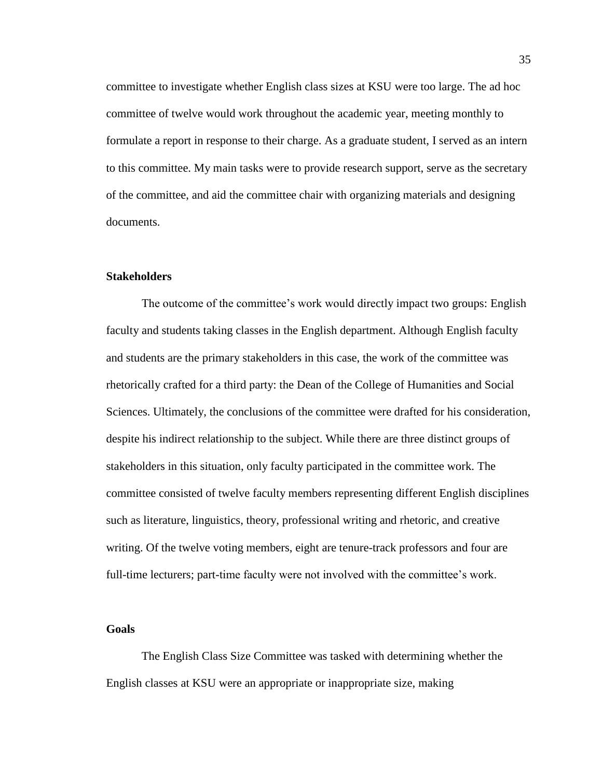committee to investigate whether English class sizes at KSU were too large. The ad hoc committee of twelve would work throughout the academic year, meeting monthly to formulate a report in response to their charge. As a graduate student, I served as an intern to this committee. My main tasks were to provide research support, serve as the secretary of the committee, and aid the committee chair with organizing materials and designing documents.

## **Stakeholders**

The outcome of the committee's work would directly impact two groups: English faculty and students taking classes in the English department. Although English faculty and students are the primary stakeholders in this case, the work of the committee was rhetorically crafted for a third party: the Dean of the College of Humanities and Social Sciences. Ultimately, the conclusions of the committee were drafted for his consideration, despite his indirect relationship to the subject. While there are three distinct groups of stakeholders in this situation, only faculty participated in the committee work. The committee consisted of twelve faculty members representing different English disciplines such as literature, linguistics, theory, professional writing and rhetoric, and creative writing. Of the twelve voting members, eight are tenure-track professors and four are full-time lecturers; part-time faculty were not involved with the committee's work.

# **Goals**

The English Class Size Committee was tasked with determining whether the English classes at KSU were an appropriate or inappropriate size, making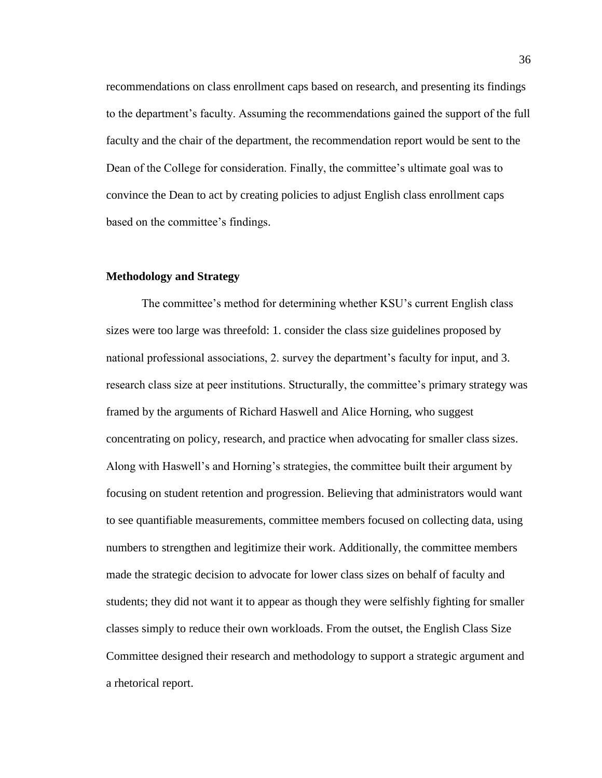recommendations on class enrollment caps based on research, and presenting its findings to the department's faculty. Assuming the recommendations gained the support of the full faculty and the chair of the department, the recommendation report would be sent to the Dean of the College for consideration. Finally, the committee's ultimate goal was to convince the Dean to act by creating policies to adjust English class enrollment caps based on the committee's findings.

## **Methodology and Strategy**

The committee's method for determining whether KSU's current English class sizes were too large was threefold: 1. consider the class size guidelines proposed by national professional associations, 2. survey the department's faculty for input, and 3. research class size at peer institutions. Structurally, the committee's primary strategy was framed by the arguments of Richard Haswell and Alice Horning, who suggest concentrating on policy, research, and practice when advocating for smaller class sizes. Along with Haswell's and Horning's strategies, the committee built their argument by focusing on student retention and progression. Believing that administrators would want to see quantifiable measurements, committee members focused on collecting data, using numbers to strengthen and legitimize their work. Additionally, the committee members made the strategic decision to advocate for lower class sizes on behalf of faculty and students; they did not want it to appear as though they were selfishly fighting for smaller classes simply to reduce their own workloads. From the outset, the English Class Size Committee designed their research and methodology to support a strategic argument and a rhetorical report.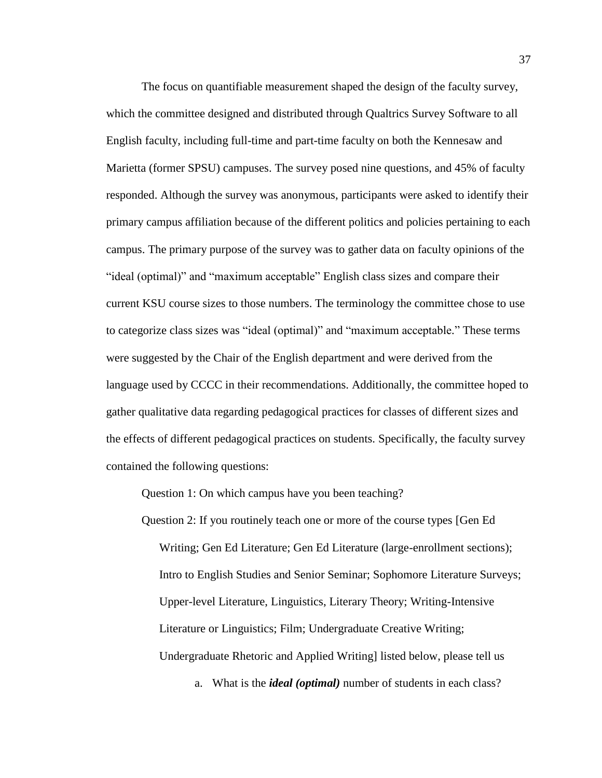The focus on quantifiable measurement shaped the design of the faculty survey, which the committee designed and distributed through Qualtrics Survey Software to all English faculty, including full-time and part-time faculty on both the Kennesaw and Marietta (former SPSU) campuses. The survey posed nine questions, and 45% of faculty responded. Although the survey was anonymous, participants were asked to identify their primary campus affiliation because of the different politics and policies pertaining to each campus. The primary purpose of the survey was to gather data on faculty opinions of the "ideal (optimal)" and "maximum acceptable" English class sizes and compare their current KSU course sizes to those numbers. The terminology the committee chose to use to categorize class sizes was "ideal (optimal)" and "maximum acceptable." These terms were suggested by the Chair of the English department and were derived from the language used by CCCC in their recommendations. Additionally, the committee hoped to gather qualitative data regarding pedagogical practices for classes of different sizes and the effects of different pedagogical practices on students. Specifically, the faculty survey contained the following questions:

Question 1: On which campus have you been teaching?

Question 2: If you routinely teach one or more of the course types [Gen Ed Writing; Gen Ed Literature; Gen Ed Literature (large-enrollment sections); Intro to English Studies and Senior Seminar; Sophomore Literature Surveys; Upper-level Literature, Linguistics, Literary Theory; Writing-Intensive Literature or Linguistics; Film; Undergraduate Creative Writing; Undergraduate Rhetoric and Applied Writing] listed below, please tell us

a. What is the *ideal (optimal)* number of students in each class?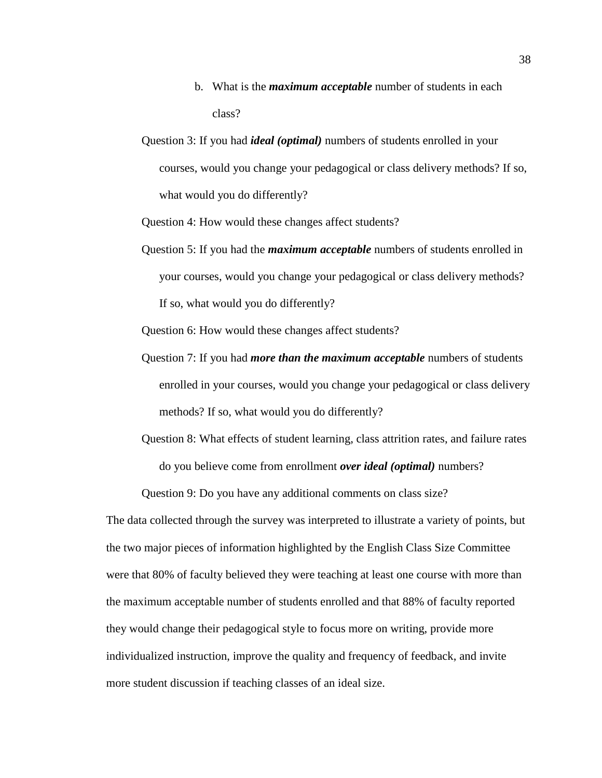- b. What is the *maximum acceptable* number of students in each class?
- Question 3: If you had *ideal (optimal)* numbers of students enrolled in your courses, would you change your pedagogical or class delivery methods? If so, what would you do differently?

Question 4: How would these changes affect students?

Question 5: If you had the *maximum acceptable* numbers of students enrolled in your courses, would you change your pedagogical or class delivery methods? If so, what would you do differently?

Question 6: How would these changes affect students?

- Question 7: If you had *more than the maximum acceptable* numbers of students enrolled in your courses, would you change your pedagogical or class delivery methods? If so, what would you do differently?
- Question 8: What effects of student learning, class attrition rates, and failure rates do you believe come from enrollment *over ideal (optimal)* numbers?

Question 9: Do you have any additional comments on class size?

The data collected through the survey was interpreted to illustrate a variety of points, but the two major pieces of information highlighted by the English Class Size Committee were that 80% of faculty believed they were teaching at least one course with more than the maximum acceptable number of students enrolled and that 88% of faculty reported they would change their pedagogical style to focus more on writing, provide more individualized instruction, improve the quality and frequency of feedback, and invite more student discussion if teaching classes of an ideal size.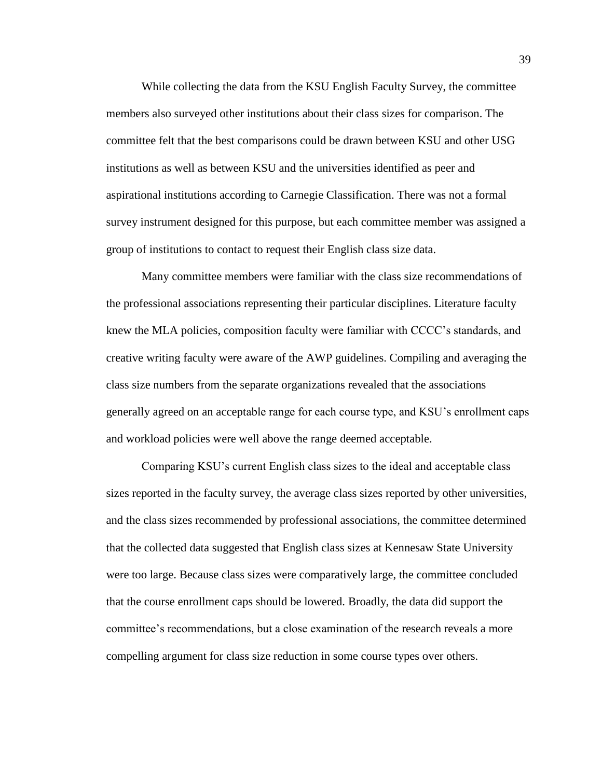While collecting the data from the KSU English Faculty Survey, the committee members also surveyed other institutions about their class sizes for comparison. The committee felt that the best comparisons could be drawn between KSU and other USG institutions as well as between KSU and the universities identified as peer and aspirational institutions according to Carnegie Classification. There was not a formal survey instrument designed for this purpose, but each committee member was assigned a group of institutions to contact to request their English class size data.

Many committee members were familiar with the class size recommendations of the professional associations representing their particular disciplines. Literature faculty knew the MLA policies, composition faculty were familiar with CCCC's standards, and creative writing faculty were aware of the AWP guidelines. Compiling and averaging the class size numbers from the separate organizations revealed that the associations generally agreed on an acceptable range for each course type, and KSU's enrollment caps and workload policies were well above the range deemed acceptable.

Comparing KSU's current English class sizes to the ideal and acceptable class sizes reported in the faculty survey, the average class sizes reported by other universities, and the class sizes recommended by professional associations, the committee determined that the collected data suggested that English class sizes at Kennesaw State University were too large. Because class sizes were comparatively large, the committee concluded that the course enrollment caps should be lowered. Broadly, the data did support the committee's recommendations, but a close examination of the research reveals a more compelling argument for class size reduction in some course types over others.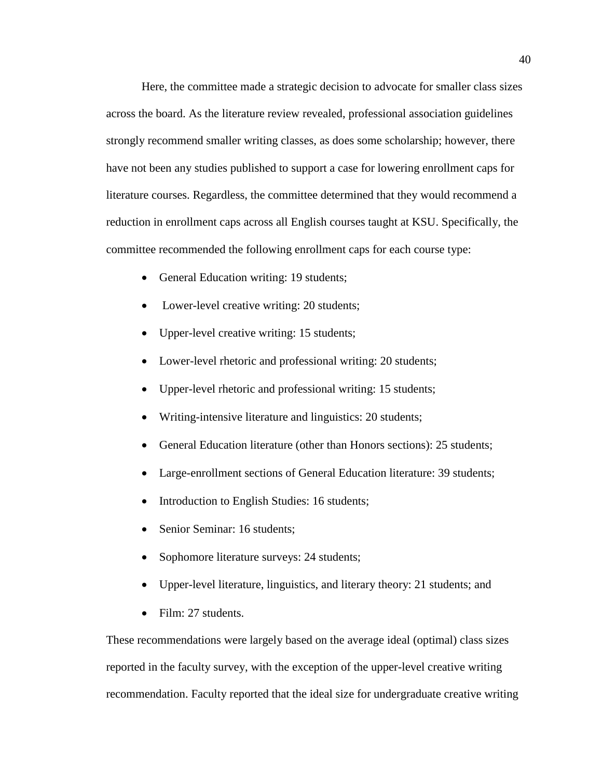Here, the committee made a strategic decision to advocate for smaller class sizes across the board. As the literature review revealed, professional association guidelines strongly recommend smaller writing classes, as does some scholarship; however, there have not been any studies published to support a case for lowering enrollment caps for literature courses. Regardless, the committee determined that they would recommend a reduction in enrollment caps across all English courses taught at KSU. Specifically, the committee recommended the following enrollment caps for each course type:

- General Education writing: 19 students;
- Lower-level creative writing: 20 students;
- Upper-level creative writing: 15 students;
- Lower-level rhetoric and professional writing: 20 students;
- Upper-level rhetoric and professional writing: 15 students;
- Writing-intensive literature and linguistics: 20 students;
- General Education literature (other than Honors sections): 25 students;
- Large-enrollment sections of General Education literature: 39 students;
- Introduction to English Studies: 16 students;
- Senior Seminar: 16 students;
- Sophomore literature surveys: 24 students;
- Upper-level literature, linguistics, and literary theory: 21 students; and
- Film: 27 students.

These recommendations were largely based on the average ideal (optimal) class sizes reported in the faculty survey, with the exception of the upper-level creative writing recommendation. Faculty reported that the ideal size for undergraduate creative writing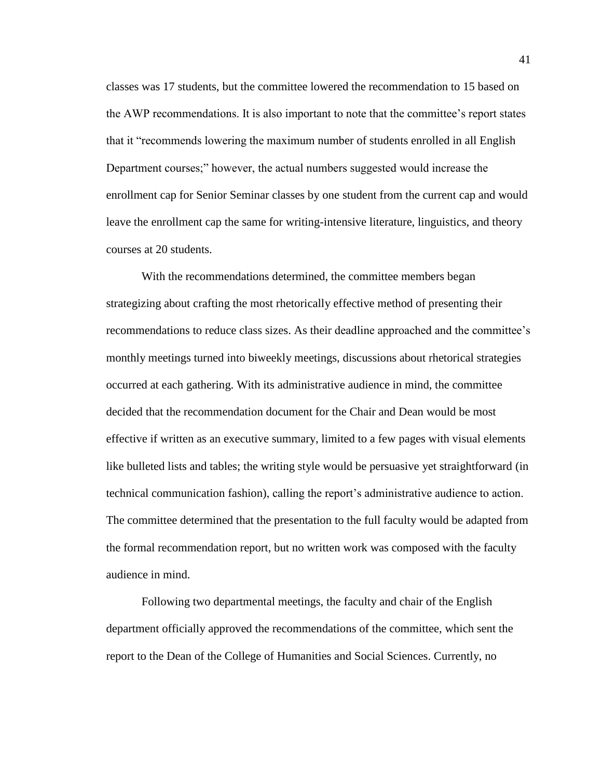classes was 17 students, but the committee lowered the recommendation to 15 based on the AWP recommendations. It is also important to note that the committee's report states that it "recommends lowering the maximum number of students enrolled in all English Department courses;" however, the actual numbers suggested would increase the enrollment cap for Senior Seminar classes by one student from the current cap and would leave the enrollment cap the same for writing-intensive literature, linguistics, and theory courses at 20 students.

With the recommendations determined, the committee members began strategizing about crafting the most rhetorically effective method of presenting their recommendations to reduce class sizes. As their deadline approached and the committee's monthly meetings turned into biweekly meetings, discussions about rhetorical strategies occurred at each gathering. With its administrative audience in mind, the committee decided that the recommendation document for the Chair and Dean would be most effective if written as an executive summary, limited to a few pages with visual elements like bulleted lists and tables; the writing style would be persuasive yet straightforward (in technical communication fashion), calling the report's administrative audience to action. The committee determined that the presentation to the full faculty would be adapted from the formal recommendation report, but no written work was composed with the faculty audience in mind.

Following two departmental meetings, the faculty and chair of the English department officially approved the recommendations of the committee, which sent the report to the Dean of the College of Humanities and Social Sciences. Currently, no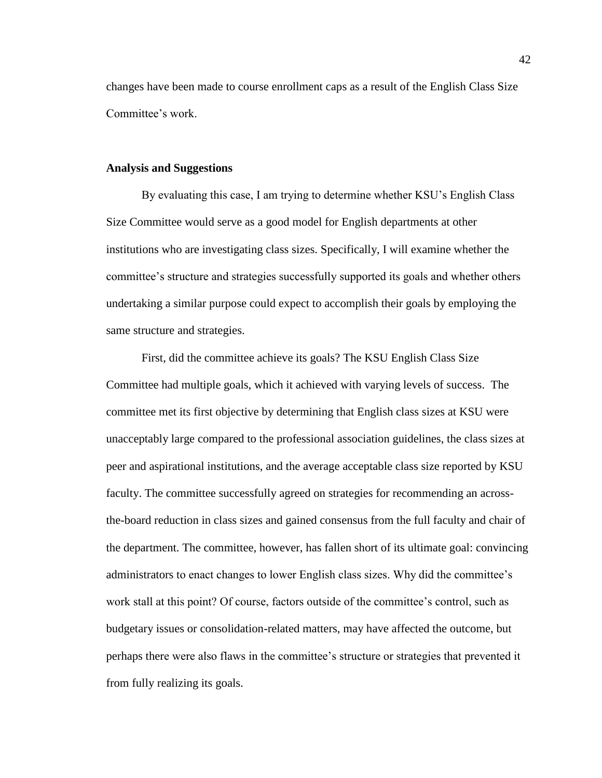changes have been made to course enrollment caps as a result of the English Class Size Committee's work.

### **Analysis and Suggestions**

By evaluating this case, I am trying to determine whether KSU's English Class Size Committee would serve as a good model for English departments at other institutions who are investigating class sizes. Specifically, I will examine whether the committee's structure and strategies successfully supported its goals and whether others undertaking a similar purpose could expect to accomplish their goals by employing the same structure and strategies.

First, did the committee achieve its goals? The KSU English Class Size Committee had multiple goals, which it achieved with varying levels of success. The committee met its first objective by determining that English class sizes at KSU were unacceptably large compared to the professional association guidelines, the class sizes at peer and aspirational institutions, and the average acceptable class size reported by KSU faculty. The committee successfully agreed on strategies for recommending an acrossthe-board reduction in class sizes and gained consensus from the full faculty and chair of the department. The committee, however, has fallen short of its ultimate goal: convincing administrators to enact changes to lower English class sizes. Why did the committee's work stall at this point? Of course, factors outside of the committee's control, such as budgetary issues or consolidation-related matters, may have affected the outcome, but perhaps there were also flaws in the committee's structure or strategies that prevented it from fully realizing its goals.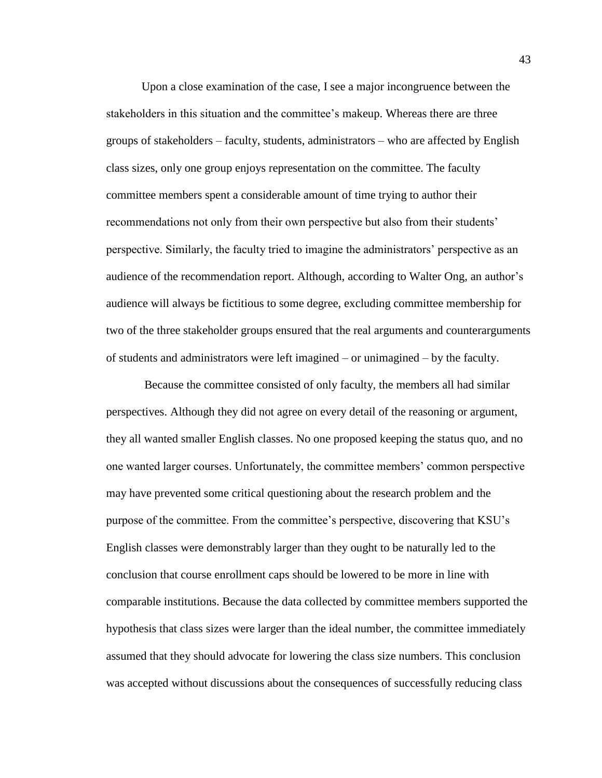Upon a close examination of the case, I see a major incongruence between the stakeholders in this situation and the committee's makeup. Whereas there are three groups of stakeholders – faculty, students, administrators – who are affected by English class sizes, only one group enjoys representation on the committee. The faculty committee members spent a considerable amount of time trying to author their recommendations not only from their own perspective but also from their students' perspective. Similarly, the faculty tried to imagine the administrators' perspective as an audience of the recommendation report. Although, according to Walter Ong, an author's audience will always be fictitious to some degree, excluding committee membership for two of the three stakeholder groups ensured that the real arguments and counterarguments of students and administrators were left imagined – or unimagined – by the faculty.

Because the committee consisted of only faculty, the members all had similar perspectives. Although they did not agree on every detail of the reasoning or argument, they all wanted smaller English classes. No one proposed keeping the status quo, and no one wanted larger courses. Unfortunately, the committee members' common perspective may have prevented some critical questioning about the research problem and the purpose of the committee. From the committee's perspective, discovering that KSU's English classes were demonstrably larger than they ought to be naturally led to the conclusion that course enrollment caps should be lowered to be more in line with comparable institutions. Because the data collected by committee members supported the hypothesis that class sizes were larger than the ideal number, the committee immediately assumed that they should advocate for lowering the class size numbers. This conclusion was accepted without discussions about the consequences of successfully reducing class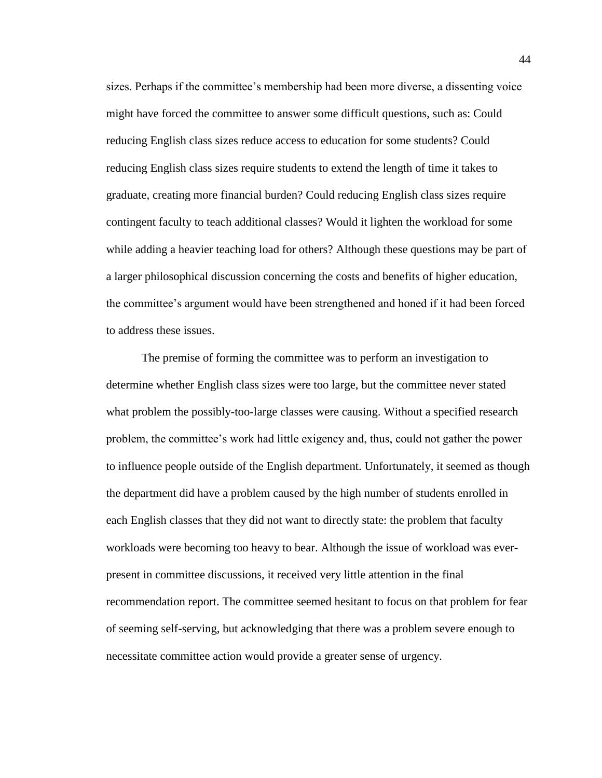sizes. Perhaps if the committee's membership had been more diverse, a dissenting voice might have forced the committee to answer some difficult questions, such as: Could reducing English class sizes reduce access to education for some students? Could reducing English class sizes require students to extend the length of time it takes to graduate, creating more financial burden? Could reducing English class sizes require contingent faculty to teach additional classes? Would it lighten the workload for some while adding a heavier teaching load for others? Although these questions may be part of a larger philosophical discussion concerning the costs and benefits of higher education, the committee's argument would have been strengthened and honed if it had been forced to address these issues.

The premise of forming the committee was to perform an investigation to determine whether English class sizes were too large, but the committee never stated what problem the possibly-too-large classes were causing. Without a specified research problem, the committee's work had little exigency and, thus, could not gather the power to influence people outside of the English department. Unfortunately, it seemed as though the department did have a problem caused by the high number of students enrolled in each English classes that they did not want to directly state: the problem that faculty workloads were becoming too heavy to bear. Although the issue of workload was everpresent in committee discussions, it received very little attention in the final recommendation report. The committee seemed hesitant to focus on that problem for fear of seeming self-serving, but acknowledging that there was a problem severe enough to necessitate committee action would provide a greater sense of urgency.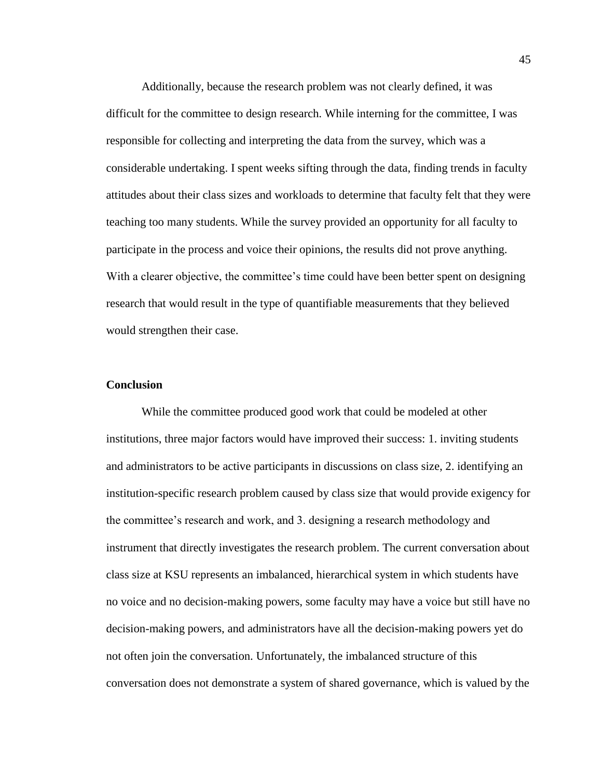Additionally, because the research problem was not clearly defined, it was difficult for the committee to design research. While interning for the committee, I was responsible for collecting and interpreting the data from the survey, which was a considerable undertaking. I spent weeks sifting through the data, finding trends in faculty attitudes about their class sizes and workloads to determine that faculty felt that they were teaching too many students. While the survey provided an opportunity for all faculty to participate in the process and voice their opinions, the results did not prove anything. With a clearer objective, the committee's time could have been better spent on designing research that would result in the type of quantifiable measurements that they believed would strengthen their case.

## **Conclusion**

While the committee produced good work that could be modeled at other institutions, three major factors would have improved their success: 1. inviting students and administrators to be active participants in discussions on class size, 2. identifying an institution-specific research problem caused by class size that would provide exigency for the committee's research and work, and 3. designing a research methodology and instrument that directly investigates the research problem. The current conversation about class size at KSU represents an imbalanced, hierarchical system in which students have no voice and no decision-making powers, some faculty may have a voice but still have no decision-making powers, and administrators have all the decision-making powers yet do not often join the conversation. Unfortunately, the imbalanced structure of this conversation does not demonstrate a system of shared governance, which is valued by the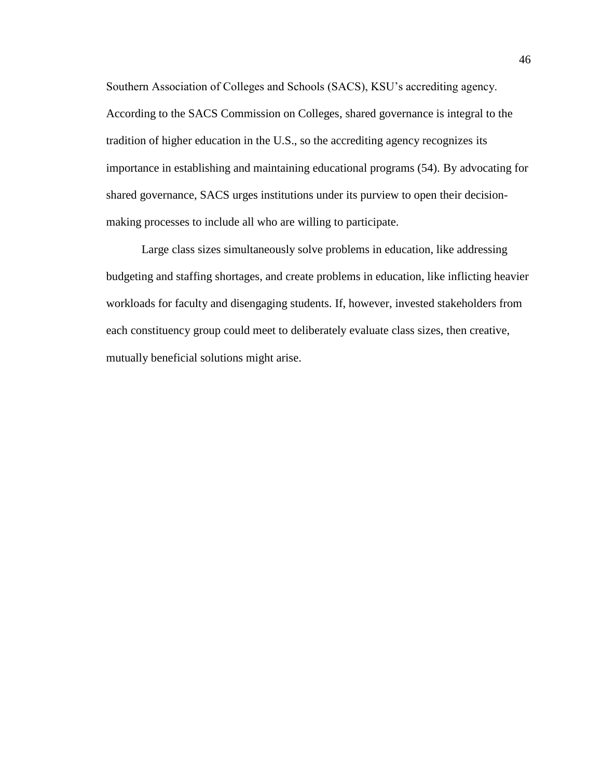Southern Association of Colleges and Schools (SACS), KSU's accrediting agency. According to the SACS Commission on Colleges, shared governance is integral to the tradition of higher education in the U.S., so the accrediting agency recognizes its importance in establishing and maintaining educational programs (54). By advocating for shared governance, SACS urges institutions under its purview to open their decisionmaking processes to include all who are willing to participate.

Large class sizes simultaneously solve problems in education, like addressing budgeting and staffing shortages, and create problems in education, like inflicting heavier workloads for faculty and disengaging students. If, however, invested stakeholders from each constituency group could meet to deliberately evaluate class sizes, then creative, mutually beneficial solutions might arise.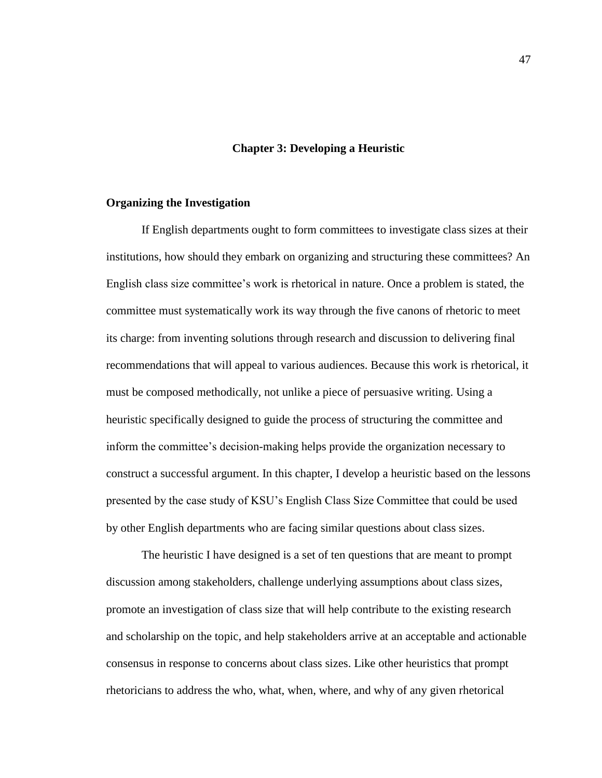### **Chapter 3: Developing a Heuristic**

#### **Organizing the Investigation**

If English departments ought to form committees to investigate class sizes at their institutions, how should they embark on organizing and structuring these committees? An English class size committee's work is rhetorical in nature. Once a problem is stated, the committee must systematically work its way through the five canons of rhetoric to meet its charge: from inventing solutions through research and discussion to delivering final recommendations that will appeal to various audiences. Because this work is rhetorical, it must be composed methodically, not unlike a piece of persuasive writing. Using a heuristic specifically designed to guide the process of structuring the committee and inform the committee's decision-making helps provide the organization necessary to construct a successful argument. In this chapter, I develop a heuristic based on the lessons presented by the case study of KSU's English Class Size Committee that could be used by other English departments who are facing similar questions about class sizes.

The heuristic I have designed is a set of ten questions that are meant to prompt discussion among stakeholders, challenge underlying assumptions about class sizes, promote an investigation of class size that will help contribute to the existing research and scholarship on the topic, and help stakeholders arrive at an acceptable and actionable consensus in response to concerns about class sizes. Like other heuristics that prompt rhetoricians to address the who, what, when, where, and why of any given rhetorical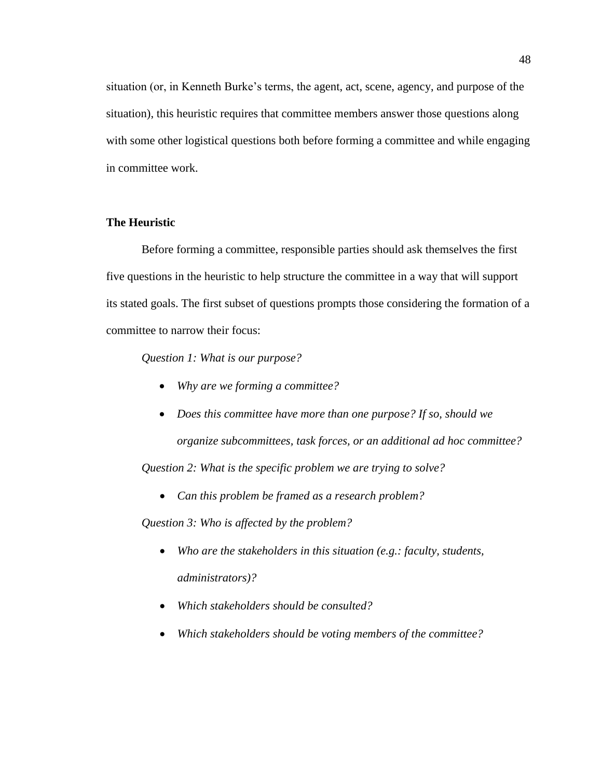situation (or, in Kenneth Burke's terms, the agent, act, scene, agency, and purpose of the situation), this heuristic requires that committee members answer those questions along with some other logistical questions both before forming a committee and while engaging in committee work.

## **The Heuristic**

Before forming a committee, responsible parties should ask themselves the first five questions in the heuristic to help structure the committee in a way that will support its stated goals. The first subset of questions prompts those considering the formation of a committee to narrow their focus:

*Question 1: What is our purpose?* 

- *Why are we forming a committee?*
- *Does this committee have more than one purpose? If so, should we organize subcommittees, task forces, or an additional ad hoc committee? Question 2: What is the specific problem we are trying to solve?*

*Can this problem be framed as a research problem?*

*Question 3: Who is affected by the problem?*

- *Who are the stakeholders in this situation (e.g.: faculty, students, administrators)?*
- *Which stakeholders should be consulted?*
- *Which stakeholders should be voting members of the committee?*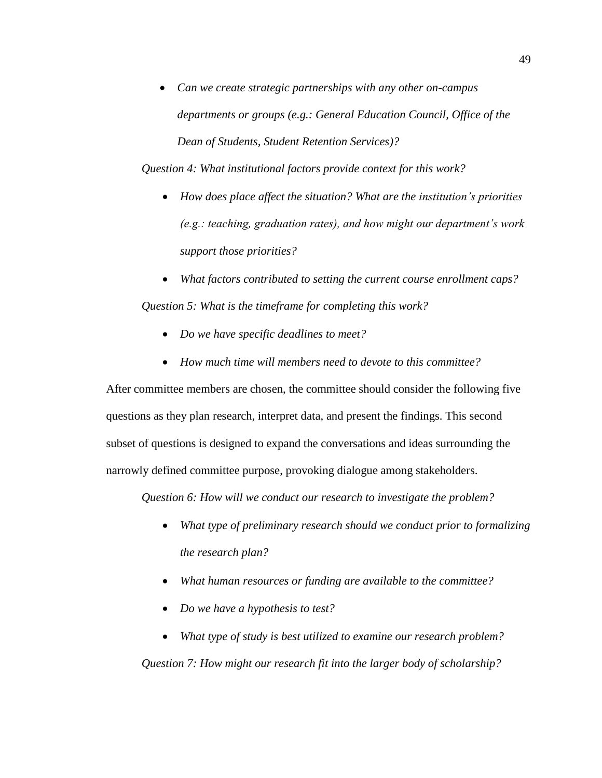*Can we create strategic partnerships with any other on-campus departments or groups (e.g.: General Education Council, Office of the Dean of Students, Student Retention Services)?*

*Question 4: What institutional factors provide context for this work?*

- *How does place affect the situation? What are the institution's priorities (e.g.: teaching, graduation rates), and how might our department's work support those priorities?*
- *What factors contributed to setting the current course enrollment caps? Question 5: What is the timeframe for completing this work?*
	- *Do we have specific deadlines to meet?*
	- *How much time will members need to devote to this committee?*

After committee members are chosen, the committee should consider the following five questions as they plan research, interpret data, and present the findings. This second subset of questions is designed to expand the conversations and ideas surrounding the narrowly defined committee purpose, provoking dialogue among stakeholders.

*Question 6: How will we conduct our research to investigate the problem?*

- *What type of preliminary research should we conduct prior to formalizing the research plan?*
- *What human resources or funding are available to the committee?*
- *Do we have a hypothesis to test?*
- *What type of study is best utilized to examine our research problem?*

*Question 7: How might our research fit into the larger body of scholarship?*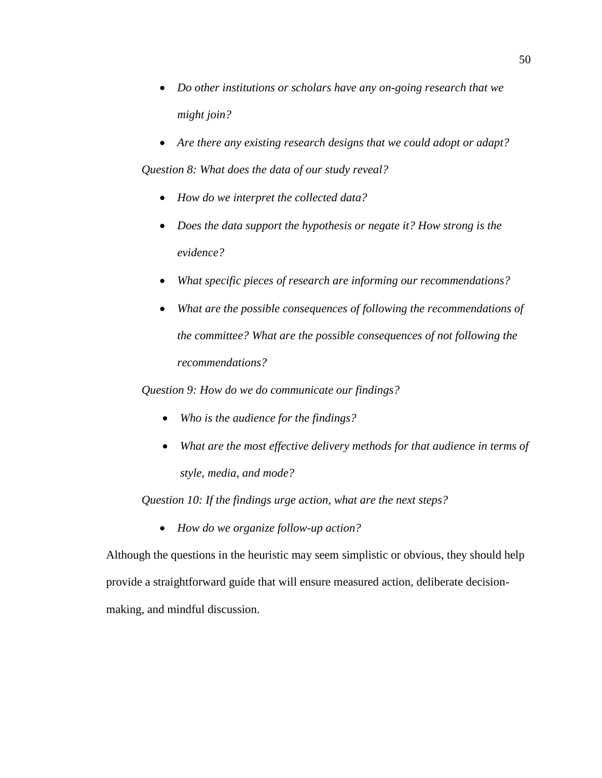- *Do other institutions or scholars have any on-going research that we might join?*
- *Are there any existing research designs that we could adopt or adapt? Question 8: What does the data of our study reveal?*
	- *How do we interpret the collected data?*
	- *Does the data support the hypothesis or negate it? How strong is the evidence?*
	- *What specific pieces of research are informing our recommendations?*
	- *What are the possible consequences of following the recommendations of the committee? What are the possible consequences of not following the recommendations?*

*Question 9: How do we do communicate our findings?*

- *Who is the audience for the findings?*
- *What are the most effective delivery methods for that audience in terms of style, media, and mode?*

*Question 10: If the findings urge action, what are the next steps?*

*How do we organize follow-up action?*

Although the questions in the heuristic may seem simplistic or obvious, they should help provide a straightforward guide that will ensure measured action, deliberate decisionmaking, and mindful discussion.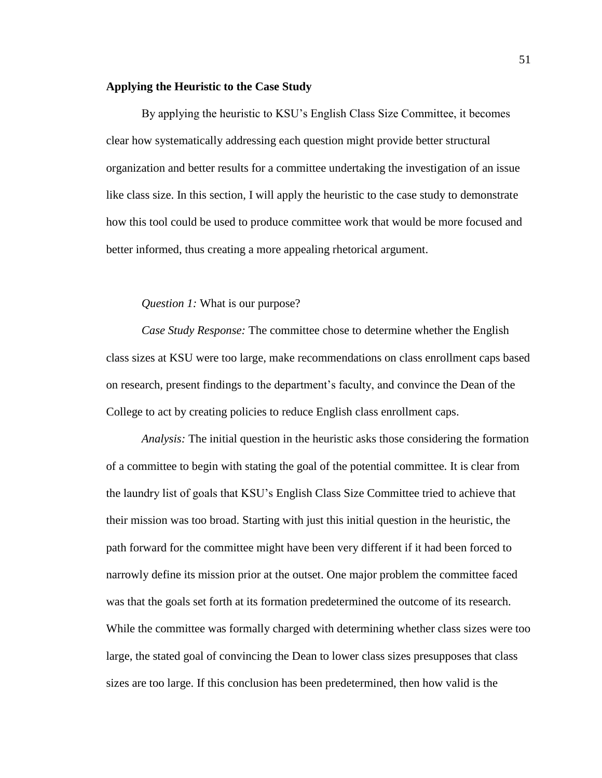#### **Applying the Heuristic to the Case Study**

By applying the heuristic to KSU's English Class Size Committee, it becomes clear how systematically addressing each question might provide better structural organization and better results for a committee undertaking the investigation of an issue like class size. In this section, I will apply the heuristic to the case study to demonstrate how this tool could be used to produce committee work that would be more focused and better informed, thus creating a more appealing rhetorical argument.

### *Question 1:* What is our purpose?

*Case Study Response:* The committee chose to determine whether the English class sizes at KSU were too large, make recommendations on class enrollment caps based on research, present findings to the department's faculty, and convince the Dean of the College to act by creating policies to reduce English class enrollment caps.

*Analysis:* The initial question in the heuristic asks those considering the formation of a committee to begin with stating the goal of the potential committee. It is clear from the laundry list of goals that KSU's English Class Size Committee tried to achieve that their mission was too broad. Starting with just this initial question in the heuristic, the path forward for the committee might have been very different if it had been forced to narrowly define its mission prior at the outset. One major problem the committee faced was that the goals set forth at its formation predetermined the outcome of its research. While the committee was formally charged with determining whether class sizes were too large, the stated goal of convincing the Dean to lower class sizes presupposes that class sizes are too large. If this conclusion has been predetermined, then how valid is the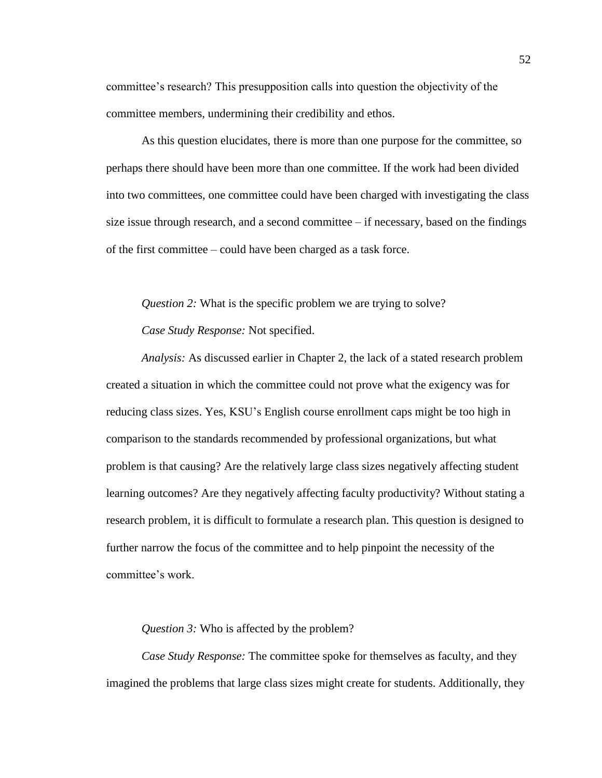committee's research? This presupposition calls into question the objectivity of the committee members, undermining their credibility and ethos.

As this question elucidates, there is more than one purpose for the committee, so perhaps there should have been more than one committee. If the work had been divided into two committees, one committee could have been charged with investigating the class size issue through research, and a second committee  $-$  if necessary, based on the findings of the first committee – could have been charged as a task force.

*Question 2:* What is the specific problem we are trying to solve?

*Case Study Response:* Not specified.

*Analysis:* As discussed earlier in Chapter 2, the lack of a stated research problem created a situation in which the committee could not prove what the exigency was for reducing class sizes. Yes, KSU's English course enrollment caps might be too high in comparison to the standards recommended by professional organizations, but what problem is that causing? Are the relatively large class sizes negatively affecting student learning outcomes? Are they negatively affecting faculty productivity? Without stating a research problem, it is difficult to formulate a research plan. This question is designed to further narrow the focus of the committee and to help pinpoint the necessity of the committee's work.

*Question 3:* Who is affected by the problem?

*Case Study Response:* The committee spoke for themselves as faculty, and they imagined the problems that large class sizes might create for students. Additionally, they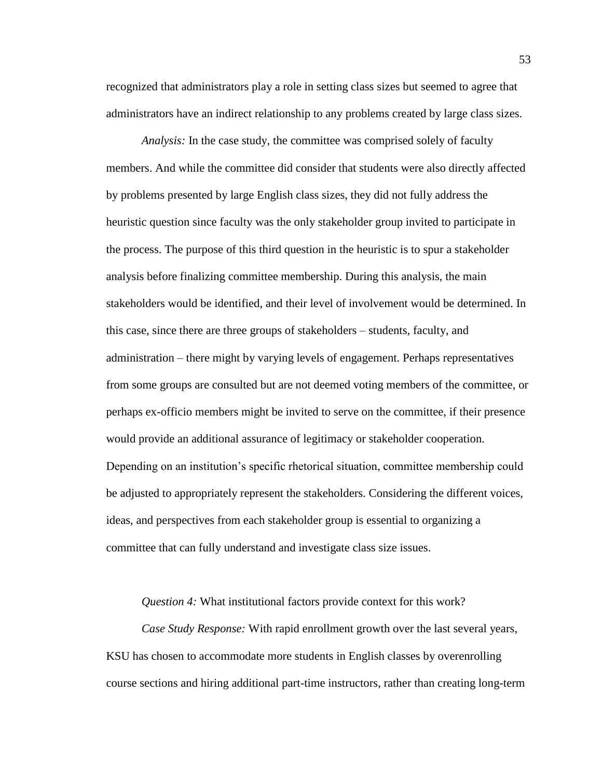recognized that administrators play a role in setting class sizes but seemed to agree that administrators have an indirect relationship to any problems created by large class sizes.

*Analysis:* In the case study, the committee was comprised solely of faculty members. And while the committee did consider that students were also directly affected by problems presented by large English class sizes, they did not fully address the heuristic question since faculty was the only stakeholder group invited to participate in the process. The purpose of this third question in the heuristic is to spur a stakeholder analysis before finalizing committee membership. During this analysis, the main stakeholders would be identified, and their level of involvement would be determined. In this case, since there are three groups of stakeholders – students, faculty, and administration – there might by varying levels of engagement. Perhaps representatives from some groups are consulted but are not deemed voting members of the committee, or perhaps ex-officio members might be invited to serve on the committee, if their presence would provide an additional assurance of legitimacy or stakeholder cooperation. Depending on an institution's specific rhetorical situation, committee membership could be adjusted to appropriately represent the stakeholders. Considering the different voices, ideas, and perspectives from each stakeholder group is essential to organizing a committee that can fully understand and investigate class size issues.

*Question 4:* What institutional factors provide context for this work?

*Case Study Response:* With rapid enrollment growth over the last several years, KSU has chosen to accommodate more students in English classes by overenrolling course sections and hiring additional part-time instructors, rather than creating long-term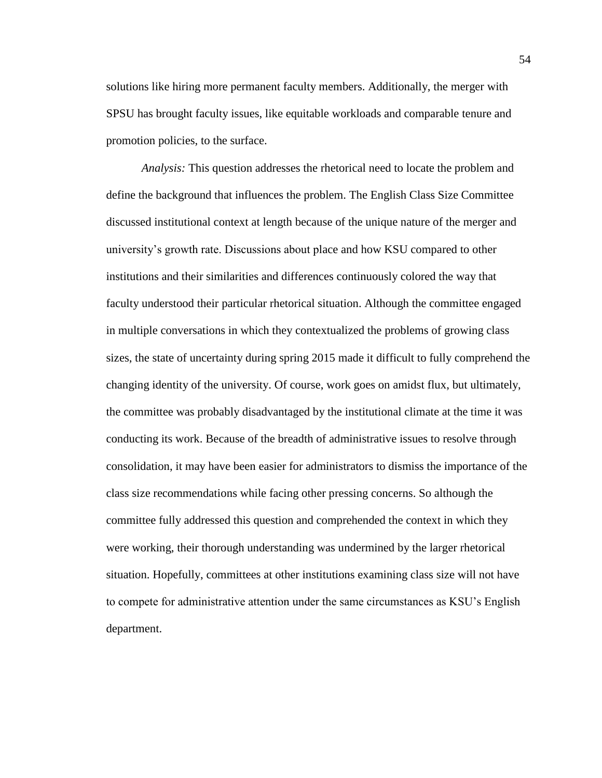solutions like hiring more permanent faculty members. Additionally, the merger with SPSU has brought faculty issues, like equitable workloads and comparable tenure and promotion policies, to the surface.

*Analysis:* This question addresses the rhetorical need to locate the problem and define the background that influences the problem. The English Class Size Committee discussed institutional context at length because of the unique nature of the merger and university's growth rate. Discussions about place and how KSU compared to other institutions and their similarities and differences continuously colored the way that faculty understood their particular rhetorical situation. Although the committee engaged in multiple conversations in which they contextualized the problems of growing class sizes, the state of uncertainty during spring 2015 made it difficult to fully comprehend the changing identity of the university. Of course, work goes on amidst flux, but ultimately, the committee was probably disadvantaged by the institutional climate at the time it was conducting its work. Because of the breadth of administrative issues to resolve through consolidation, it may have been easier for administrators to dismiss the importance of the class size recommendations while facing other pressing concerns. So although the committee fully addressed this question and comprehended the context in which they were working, their thorough understanding was undermined by the larger rhetorical situation. Hopefully, committees at other institutions examining class size will not have to compete for administrative attention under the same circumstances as KSU's English department.

54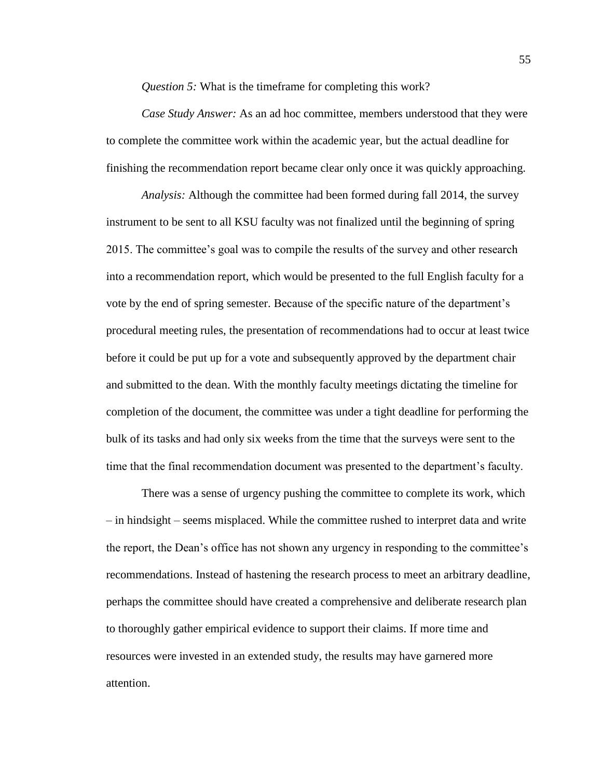*Question 5:* What is the timeframe for completing this work?

*Case Study Answer:* As an ad hoc committee, members understood that they were to complete the committee work within the academic year, but the actual deadline for finishing the recommendation report became clear only once it was quickly approaching.

*Analysis:* Although the committee had been formed during fall 2014, the survey instrument to be sent to all KSU faculty was not finalized until the beginning of spring 2015. The committee's goal was to compile the results of the survey and other research into a recommendation report, which would be presented to the full English faculty for a vote by the end of spring semester. Because of the specific nature of the department's procedural meeting rules, the presentation of recommendations had to occur at least twice before it could be put up for a vote and subsequently approved by the department chair and submitted to the dean. With the monthly faculty meetings dictating the timeline for completion of the document, the committee was under a tight deadline for performing the bulk of its tasks and had only six weeks from the time that the surveys were sent to the time that the final recommendation document was presented to the department's faculty.

There was a sense of urgency pushing the committee to complete its work, which – in hindsight – seems misplaced. While the committee rushed to interpret data and write the report, the Dean's office has not shown any urgency in responding to the committee's recommendations. Instead of hastening the research process to meet an arbitrary deadline, perhaps the committee should have created a comprehensive and deliberate research plan to thoroughly gather empirical evidence to support their claims. If more time and resources were invested in an extended study, the results may have garnered more attention.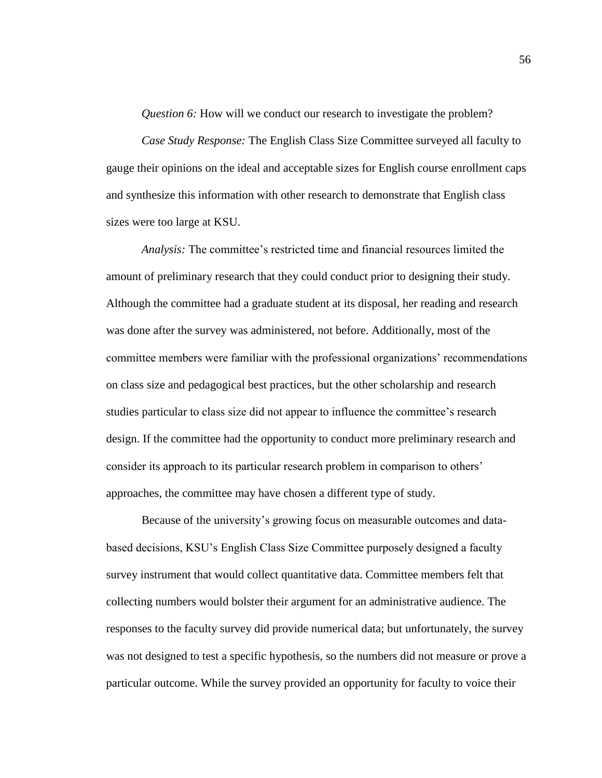*Question 6:* How will we conduct our research to investigate the problem?

*Case Study Response:* The English Class Size Committee surveyed all faculty to gauge their opinions on the ideal and acceptable sizes for English course enrollment caps and synthesize this information with other research to demonstrate that English class sizes were too large at KSU.

*Analysis:* The committee's restricted time and financial resources limited the amount of preliminary research that they could conduct prior to designing their study. Although the committee had a graduate student at its disposal, her reading and research was done after the survey was administered, not before. Additionally, most of the committee members were familiar with the professional organizations' recommendations on class size and pedagogical best practices, but the other scholarship and research studies particular to class size did not appear to influence the committee's research design. If the committee had the opportunity to conduct more preliminary research and consider its approach to its particular research problem in comparison to others' approaches, the committee may have chosen a different type of study.

Because of the university's growing focus on measurable outcomes and databased decisions, KSU's English Class Size Committee purposely designed a faculty survey instrument that would collect quantitative data. Committee members felt that collecting numbers would bolster their argument for an administrative audience. The responses to the faculty survey did provide numerical data; but unfortunately, the survey was not designed to test a specific hypothesis, so the numbers did not measure or prove a particular outcome. While the survey provided an opportunity for faculty to voice their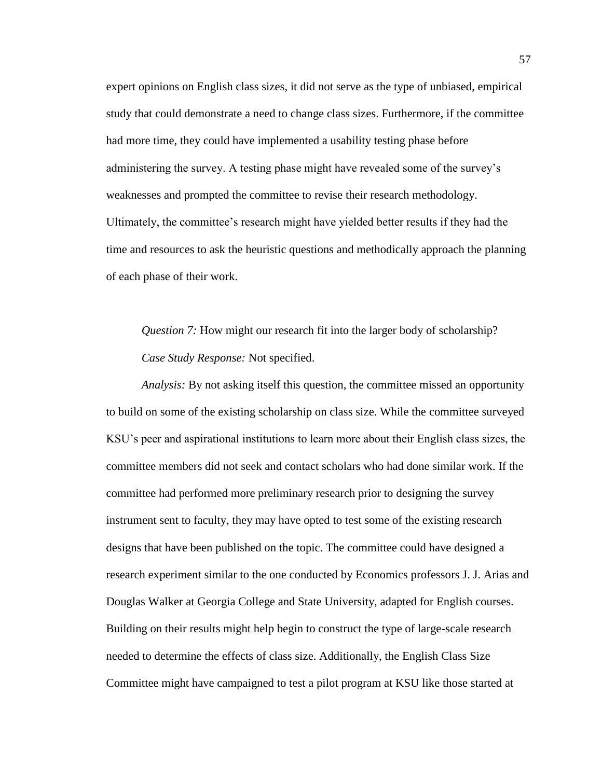expert opinions on English class sizes, it did not serve as the type of unbiased, empirical study that could demonstrate a need to change class sizes. Furthermore, if the committee had more time, they could have implemented a usability testing phase before administering the survey. A testing phase might have revealed some of the survey's weaknesses and prompted the committee to revise their research methodology. Ultimately, the committee's research might have yielded better results if they had the time and resources to ask the heuristic questions and methodically approach the planning of each phase of their work.

*Question 7:* How might our research fit into the larger body of scholarship? *Case Study Response:* Not specified.

*Analysis:* By not asking itself this question, the committee missed an opportunity to build on some of the existing scholarship on class size. While the committee surveyed KSU's peer and aspirational institutions to learn more about their English class sizes, the committee members did not seek and contact scholars who had done similar work. If the committee had performed more preliminary research prior to designing the survey instrument sent to faculty, they may have opted to test some of the existing research designs that have been published on the topic. The committee could have designed a research experiment similar to the one conducted by Economics professors J. J. Arias and Douglas Walker at Georgia College and State University, adapted for English courses. Building on their results might help begin to construct the type of large-scale research needed to determine the effects of class size. Additionally, the English Class Size Committee might have campaigned to test a pilot program at KSU like those started at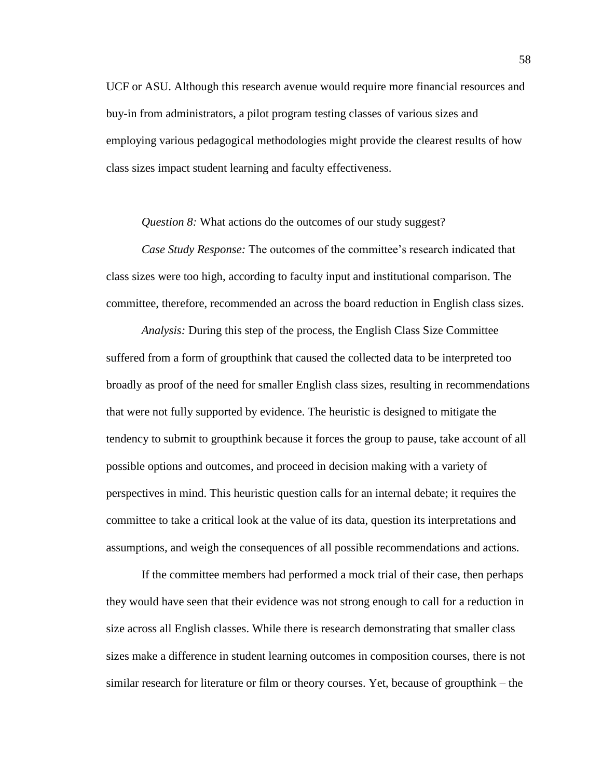UCF or ASU. Although this research avenue would require more financial resources and buy-in from administrators, a pilot program testing classes of various sizes and employing various pedagogical methodologies might provide the clearest results of how class sizes impact student learning and faculty effectiveness.

*Question 8:* What actions do the outcomes of our study suggest?

*Case Study Response:* The outcomes of the committee's research indicated that class sizes were too high, according to faculty input and institutional comparison. The committee, therefore, recommended an across the board reduction in English class sizes.

*Analysis:* During this step of the process, the English Class Size Committee suffered from a form of groupthink that caused the collected data to be interpreted too broadly as proof of the need for smaller English class sizes, resulting in recommendations that were not fully supported by evidence. The heuristic is designed to mitigate the tendency to submit to groupthink because it forces the group to pause, take account of all possible options and outcomes, and proceed in decision making with a variety of perspectives in mind. This heuristic question calls for an internal debate; it requires the committee to take a critical look at the value of its data, question its interpretations and assumptions, and weigh the consequences of all possible recommendations and actions.

If the committee members had performed a mock trial of their case, then perhaps they would have seen that their evidence was not strong enough to call for a reduction in size across all English classes. While there is research demonstrating that smaller class sizes make a difference in student learning outcomes in composition courses, there is not similar research for literature or film or theory courses. Yet, because of groupthink – the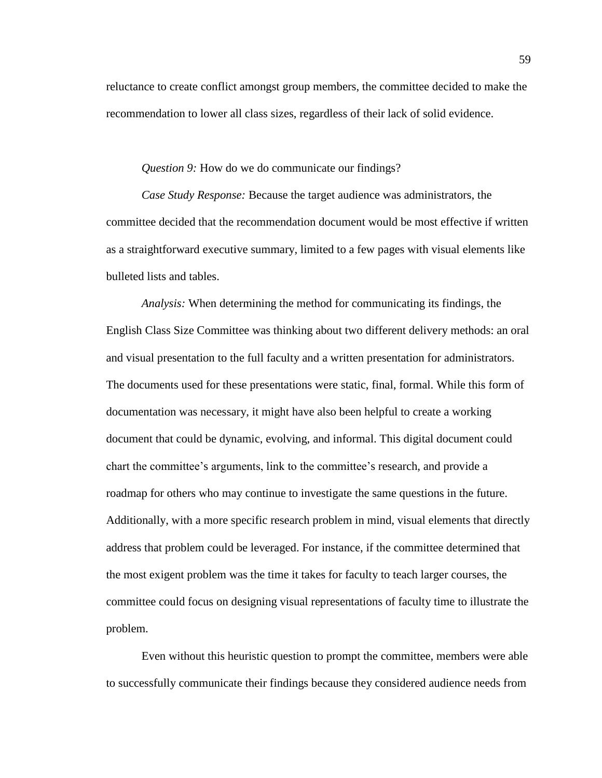reluctance to create conflict amongst group members, the committee decided to make the recommendation to lower all class sizes, regardless of their lack of solid evidence.

*Question 9:* How do we do communicate our findings?

*Case Study Response:* Because the target audience was administrators, the committee decided that the recommendation document would be most effective if written as a straightforward executive summary, limited to a few pages with visual elements like bulleted lists and tables.

*Analysis:* When determining the method for communicating its findings, the English Class Size Committee was thinking about two different delivery methods: an oral and visual presentation to the full faculty and a written presentation for administrators. The documents used for these presentations were static, final, formal. While this form of documentation was necessary, it might have also been helpful to create a working document that could be dynamic, evolving, and informal. This digital document could chart the committee's arguments, link to the committee's research, and provide a roadmap for others who may continue to investigate the same questions in the future. Additionally, with a more specific research problem in mind, visual elements that directly address that problem could be leveraged. For instance, if the committee determined that the most exigent problem was the time it takes for faculty to teach larger courses, the committee could focus on designing visual representations of faculty time to illustrate the problem.

Even without this heuristic question to prompt the committee, members were able to successfully communicate their findings because they considered audience needs from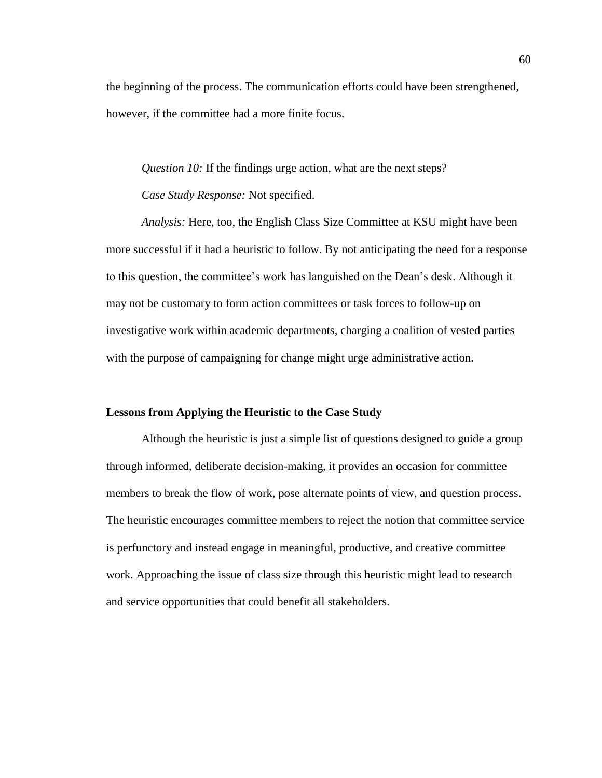the beginning of the process. The communication efforts could have been strengthened, however, if the committee had a more finite focus.

*Question 10:* If the findings urge action, what are the next steps? *Case Study Response:* Not specified.

*Analysis:* Here, too, the English Class Size Committee at KSU might have been more successful if it had a heuristic to follow. By not anticipating the need for a response to this question, the committee's work has languished on the Dean's desk. Although it may not be customary to form action committees or task forces to follow-up on investigative work within academic departments, charging a coalition of vested parties with the purpose of campaigning for change might urge administrative action.

## **Lessons from Applying the Heuristic to the Case Study**

Although the heuristic is just a simple list of questions designed to guide a group through informed, deliberate decision-making, it provides an occasion for committee members to break the flow of work, pose alternate points of view, and question process. The heuristic encourages committee members to reject the notion that committee service is perfunctory and instead engage in meaningful, productive, and creative committee work. Approaching the issue of class size through this heuristic might lead to research and service opportunities that could benefit all stakeholders.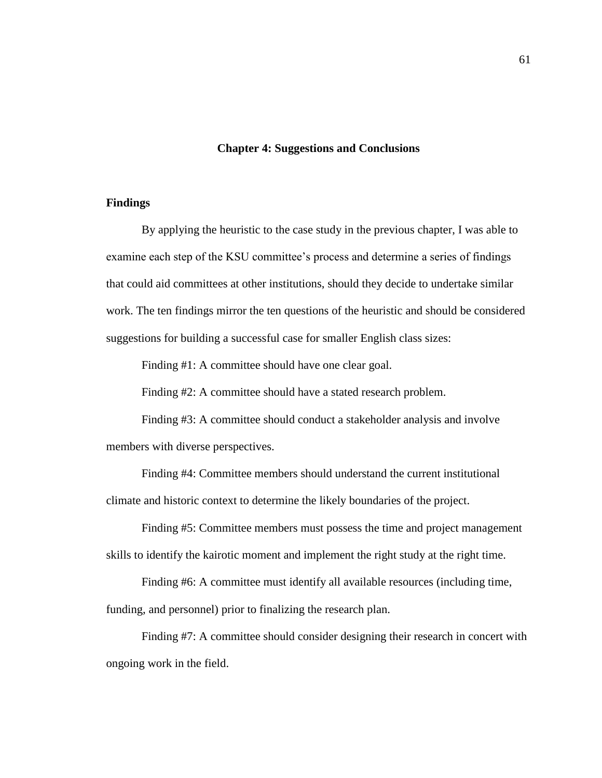#### **Chapter 4: Suggestions and Conclusions**

## **Findings**

By applying the heuristic to the case study in the previous chapter, I was able to examine each step of the KSU committee's process and determine a series of findings that could aid committees at other institutions, should they decide to undertake similar work. The ten findings mirror the ten questions of the heuristic and should be considered suggestions for building a successful case for smaller English class sizes:

Finding #1: A committee should have one clear goal.

Finding #2: A committee should have a stated research problem.

Finding #3: A committee should conduct a stakeholder analysis and involve members with diverse perspectives.

Finding #4: Committee members should understand the current institutional climate and historic context to determine the likely boundaries of the project.

Finding #5: Committee members must possess the time and project management skills to identify the kairotic moment and implement the right study at the right time.

Finding #6: A committee must identify all available resources (including time,

funding, and personnel) prior to finalizing the research plan.

Finding #7: A committee should consider designing their research in concert with ongoing work in the field.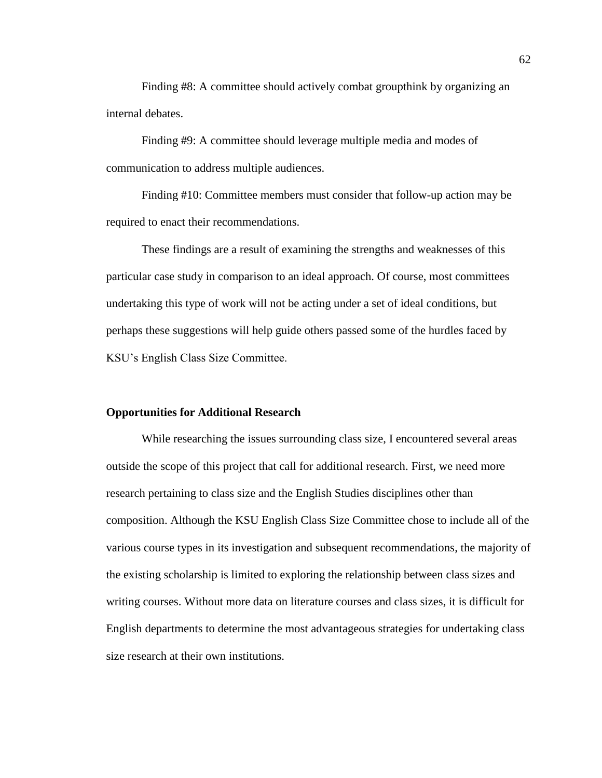Finding #8: A committee should actively combat groupthink by organizing an internal debates.

Finding #9: A committee should leverage multiple media and modes of communication to address multiple audiences.

Finding #10: Committee members must consider that follow-up action may be required to enact their recommendations.

These findings are a result of examining the strengths and weaknesses of this particular case study in comparison to an ideal approach. Of course, most committees undertaking this type of work will not be acting under a set of ideal conditions, but perhaps these suggestions will help guide others passed some of the hurdles faced by KSU's English Class Size Committee.

## **Opportunities for Additional Research**

While researching the issues surrounding class size, I encountered several areas outside the scope of this project that call for additional research. First, we need more research pertaining to class size and the English Studies disciplines other than composition. Although the KSU English Class Size Committee chose to include all of the various course types in its investigation and subsequent recommendations, the majority of the existing scholarship is limited to exploring the relationship between class sizes and writing courses. Without more data on literature courses and class sizes, it is difficult for English departments to determine the most advantageous strategies for undertaking class size research at their own institutions.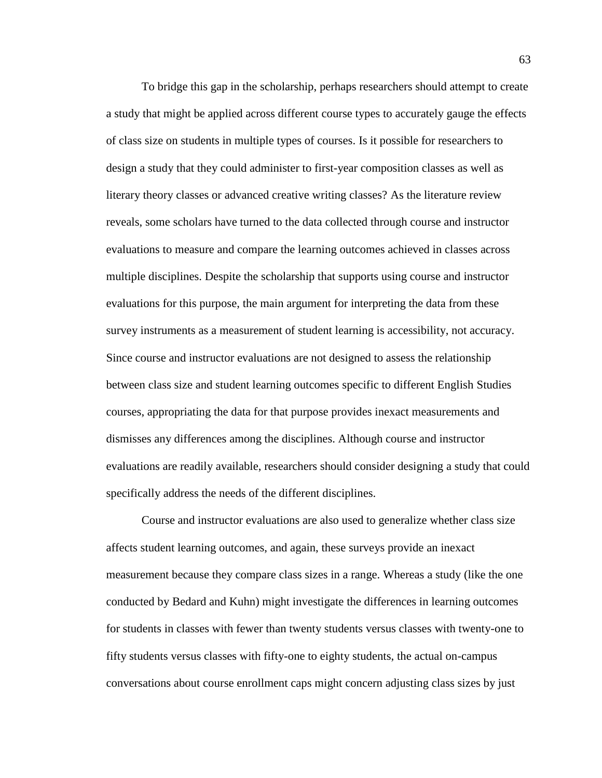To bridge this gap in the scholarship, perhaps researchers should attempt to create a study that might be applied across different course types to accurately gauge the effects of class size on students in multiple types of courses. Is it possible for researchers to design a study that they could administer to first-year composition classes as well as literary theory classes or advanced creative writing classes? As the literature review reveals, some scholars have turned to the data collected through course and instructor evaluations to measure and compare the learning outcomes achieved in classes across multiple disciplines. Despite the scholarship that supports using course and instructor evaluations for this purpose, the main argument for interpreting the data from these survey instruments as a measurement of student learning is accessibility, not accuracy. Since course and instructor evaluations are not designed to assess the relationship between class size and student learning outcomes specific to different English Studies courses, appropriating the data for that purpose provides inexact measurements and dismisses any differences among the disciplines. Although course and instructor evaluations are readily available, researchers should consider designing a study that could specifically address the needs of the different disciplines.

Course and instructor evaluations are also used to generalize whether class size affects student learning outcomes, and again, these surveys provide an inexact measurement because they compare class sizes in a range. Whereas a study (like the one conducted by Bedard and Kuhn) might investigate the differences in learning outcomes for students in classes with fewer than twenty students versus classes with twenty-one to fifty students versus classes with fifty-one to eighty students, the actual on-campus conversations about course enrollment caps might concern adjusting class sizes by just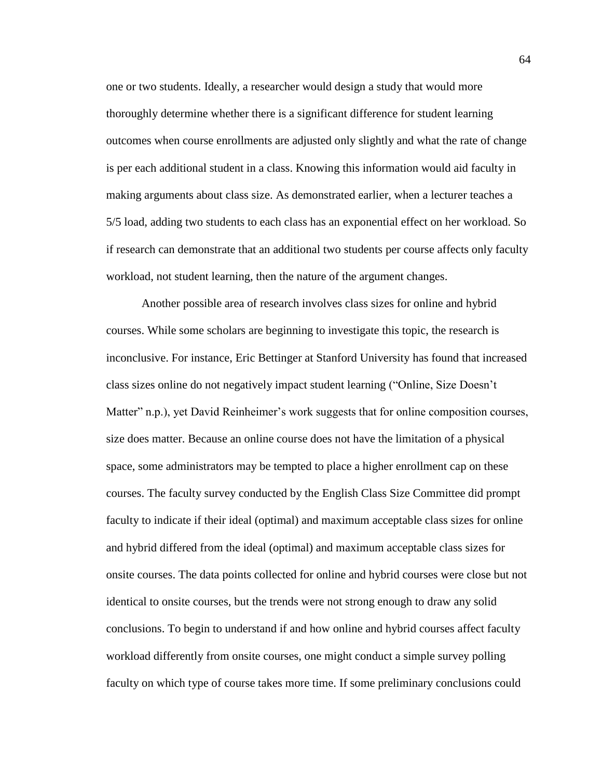one or two students. Ideally, a researcher would design a study that would more thoroughly determine whether there is a significant difference for student learning outcomes when course enrollments are adjusted only slightly and what the rate of change is per each additional student in a class. Knowing this information would aid faculty in making arguments about class size. As demonstrated earlier, when a lecturer teaches a 5/5 load, adding two students to each class has an exponential effect on her workload. So if research can demonstrate that an additional two students per course affects only faculty workload, not student learning, then the nature of the argument changes.

Another possible area of research involves class sizes for online and hybrid courses. While some scholars are beginning to investigate this topic, the research is inconclusive. For instance, Eric Bettinger at Stanford University has found that increased class sizes online do not negatively impact student learning ("Online, Size Doesn't Matter" n.p.), yet David Reinheimer's work suggests that for online composition courses, size does matter. Because an online course does not have the limitation of a physical space, some administrators may be tempted to place a higher enrollment cap on these courses. The faculty survey conducted by the English Class Size Committee did prompt faculty to indicate if their ideal (optimal) and maximum acceptable class sizes for online and hybrid differed from the ideal (optimal) and maximum acceptable class sizes for onsite courses. The data points collected for online and hybrid courses were close but not identical to onsite courses, but the trends were not strong enough to draw any solid conclusions. To begin to understand if and how online and hybrid courses affect faculty workload differently from onsite courses, one might conduct a simple survey polling faculty on which type of course takes more time. If some preliminary conclusions could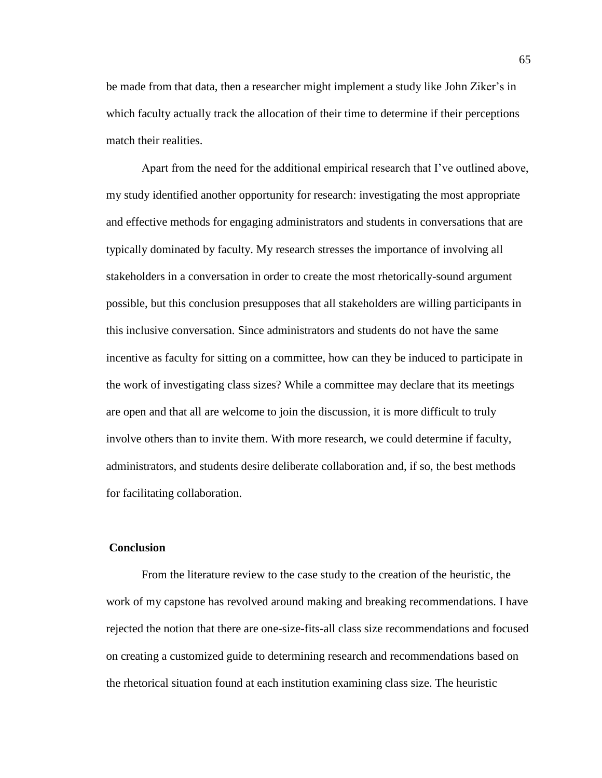be made from that data, then a researcher might implement a study like John Ziker's in which faculty actually track the allocation of their time to determine if their perceptions match their realities.

Apart from the need for the additional empirical research that I've outlined above, my study identified another opportunity for research: investigating the most appropriate and effective methods for engaging administrators and students in conversations that are typically dominated by faculty. My research stresses the importance of involving all stakeholders in a conversation in order to create the most rhetorically-sound argument possible, but this conclusion presupposes that all stakeholders are willing participants in this inclusive conversation. Since administrators and students do not have the same incentive as faculty for sitting on a committee, how can they be induced to participate in the work of investigating class sizes? While a committee may declare that its meetings are open and that all are welcome to join the discussion, it is more difficult to truly involve others than to invite them. With more research, we could determine if faculty, administrators, and students desire deliberate collaboration and, if so, the best methods for facilitating collaboration.

## **Conclusion**

From the literature review to the case study to the creation of the heuristic, the work of my capstone has revolved around making and breaking recommendations. I have rejected the notion that there are one-size-fits-all class size recommendations and focused on creating a customized guide to determining research and recommendations based on the rhetorical situation found at each institution examining class size. The heuristic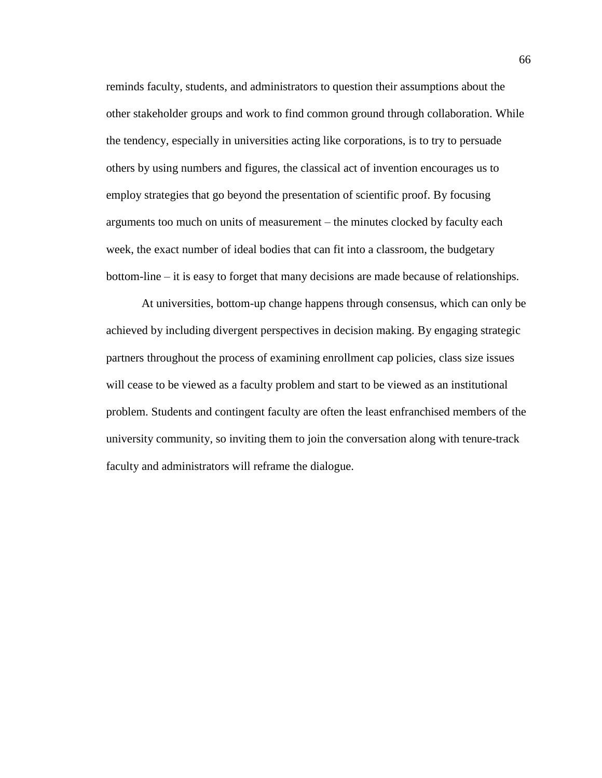reminds faculty, students, and administrators to question their assumptions about the other stakeholder groups and work to find common ground through collaboration. While the tendency, especially in universities acting like corporations, is to try to persuade others by using numbers and figures, the classical act of invention encourages us to employ strategies that go beyond the presentation of scientific proof. By focusing arguments too much on units of measurement – the minutes clocked by faculty each week, the exact number of ideal bodies that can fit into a classroom, the budgetary bottom-line – it is easy to forget that many decisions are made because of relationships.

At universities, bottom-up change happens through consensus, which can only be achieved by including divergent perspectives in decision making. By engaging strategic partners throughout the process of examining enrollment cap policies, class size issues will cease to be viewed as a faculty problem and start to be viewed as an institutional problem. Students and contingent faculty are often the least enfranchised members of the university community, so inviting them to join the conversation along with tenure-track faculty and administrators will reframe the dialogue.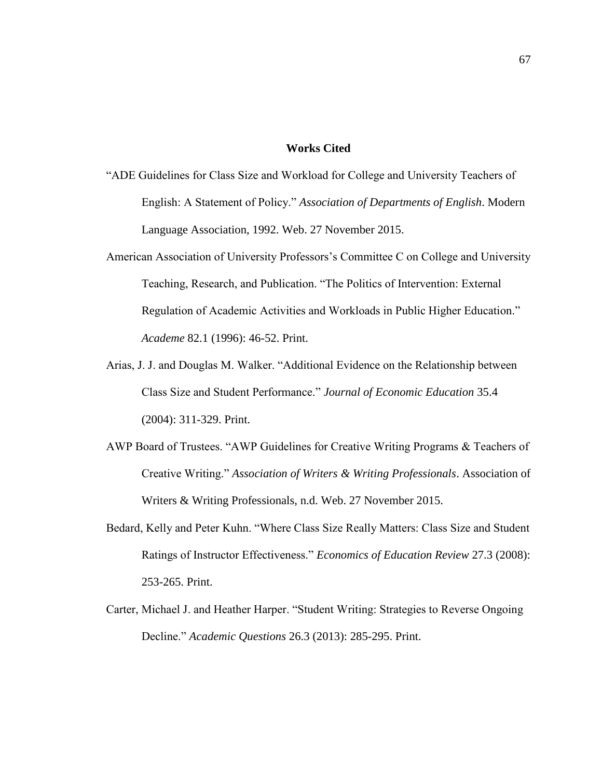### **Works Cited**

- "ADE Guidelines for Class Size and Workload for College and University Teachers of English: A Statement of Policy." *Association of Departments of English*. Modern Language Association, 1992. Web. 27 November 2015.
- American Association of University Professors's Committee C on College and University Teaching, Research, and Publication. "The Politics of Intervention: External Regulation of Academic Activities and Workloads in Public Higher Education." *Academe* 82.1 (1996): 46-52. Print.
- Arias, J. J. and Douglas M. Walker. "Additional Evidence on the Relationship between Class Size and Student Performance." *Journal of Economic Education* 35.4 (2004): 311-329. Print.
- AWP Board of Trustees. "AWP Guidelines for Creative Writing Programs & Teachers of Creative Writing." *Association of Writers & Writing Professionals*. Association of Writers & Writing Professionals, n.d. Web. 27 November 2015.
- Bedard, Kelly and Peter Kuhn. "Where Class Size Really Matters: Class Size and Student Ratings of Instructor Effectiveness." *Economics of Education Review* 27.3 (2008): 253-265. Print.
- Carter, Michael J. and Heather Harper. "Student Writing: Strategies to Reverse Ongoing Decline." *Academic Questions* 26.3 (2013): 285-295. Print.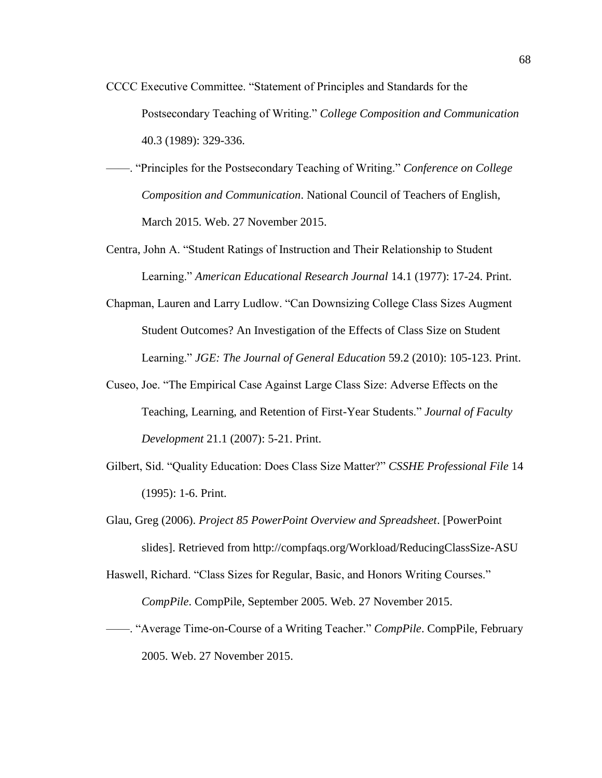- CCCC Executive Committee. "Statement of Principles and Standards for the Postsecondary Teaching of Writing." *College Composition and Communication* 40.3 (1989): 329-336.
- ——. "Principles for the Postsecondary Teaching of Writing." *Conference on College Composition and Communication*. National Council of Teachers of English, March 2015. Web. 27 November 2015.
- Centra, John A. "Student Ratings of Instruction and Their Relationship to Student Learning." *American Educational Research Journal* 14.1 (1977): 17-24. Print.
- Chapman, Lauren and Larry Ludlow. "Can Downsizing College Class Sizes Augment Student Outcomes? An Investigation of the Effects of Class Size on Student Learning." *JGE: The Journal of General Education* 59.2 (2010): 105-123. Print.
- Cuseo, Joe. "The Empirical Case Against Large Class Size: Adverse Effects on the Teaching, Learning, and Retention of First-Year Students." *Journal of Faculty Development* 21.1 (2007): 5-21. Print.
- Gilbert, Sid. "Quality Education: Does Class Size Matter?" *CSSHE Professional File* 14 (1995): 1-6. Print.
- Glau, Greg (2006). *Project 85 PowerPoint Overview and Spreadsheet*. [PowerPoint slides]. Retrieved from http://compfaqs.org/Workload/ReducingClassSize-ASU
- Haswell, Richard. "Class Sizes for Regular, Basic, and Honors Writing Courses." *CompPile*. CompPile, September 2005. Web. 27 November 2015.
- ——. "Average Time-on-Course of a Writing Teacher." *CompPile*. CompPile, February 2005. Web. 27 November 2015.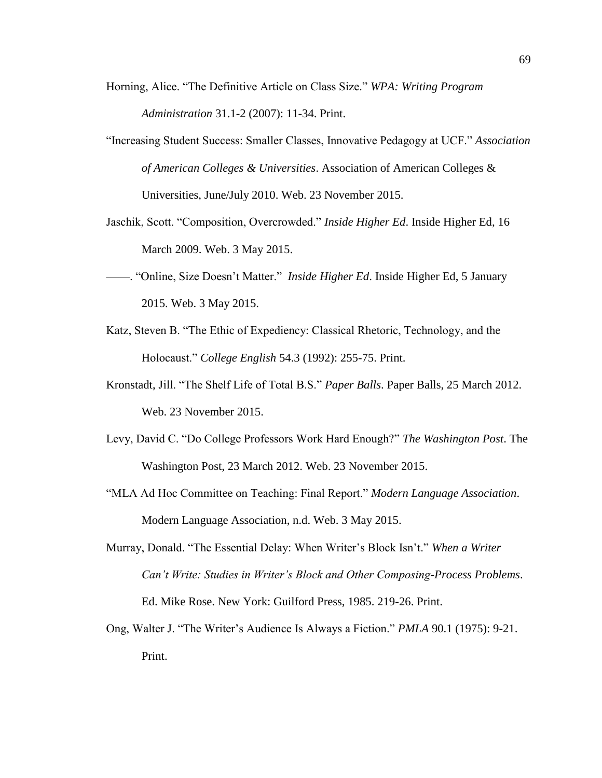- Horning, Alice. "The Definitive Article on Class Size." *WPA: Writing Program Administration* 31.1-2 (2007): 11-34. Print.
- "Increasing Student Success: Smaller Classes, Innovative Pedagogy at UCF." *Association of American Colleges & Universities*. Association of American Colleges & Universities, June/July 2010. Web. 23 November 2015.
- Jaschik, Scott. "Composition, Overcrowded." *Inside Higher Ed*. Inside Higher Ed, 16 March 2009. Web. 3 May 2015.
- ——. "Online, Size Doesn't Matter." *Inside Higher Ed*. Inside Higher Ed, 5 January 2015. Web. 3 May 2015.
- Katz, Steven B. "The Ethic of Expediency: Classical Rhetoric, Technology, and the Holocaust." *College English* 54.3 (1992): 255-75. Print.
- Kronstadt, Jill. "The Shelf Life of Total B.S." *Paper Balls*. Paper Balls, 25 March 2012. Web. 23 November 2015.
- Levy, David C. "Do College Professors Work Hard Enough?" *The Washington Post*. The Washington Post, 23 March 2012. Web. 23 November 2015.
- "MLA Ad Hoc Committee on Teaching: Final Report." *Modern Language Association*. Modern Language Association, n.d. Web. 3 May 2015.
- Murray, Donald. "The Essential Delay: When Writer's Block Isn't." *When a Writer Can't Write: Studies in Writer's Block and Other Composing-Process Problems*. Ed. Mike Rose. New York: Guilford Press, 1985. 219-26. Print.
- Ong, Walter J. "The Writer's Audience Is Always a Fiction." *PMLA* 90.1 (1975): 9-21. Print.